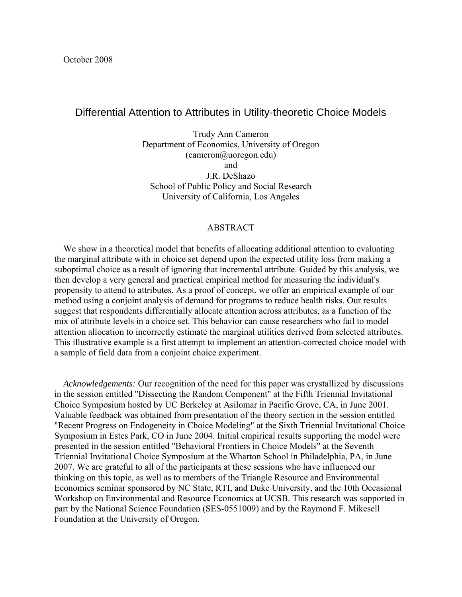# Differential Attention to Attributes in Utility-theoretic Choice Models

Trudy Ann Cameron Department of Economics, University of Oregon (cameron@uoregon.edu) and J.R. DeShazo School of Public Policy and Social Research University of California, Los Angeles

### ABSTRACT

We show in a theoretical model that benefits of allocating additional attention to evaluating the marginal attribute with in choice set depend upon the expected utility loss from making a suboptimal choice as a result of ignoring that incremental attribute. Guided by this analysis, we then develop a very general and practical empirical method for measuring the individual's propensity to attend to attributes. As a proof of concept, we offer an empirical example of our method using a conjoint analysis of demand for programs to reduce health risks. Our results suggest that respondents differentially allocate attention across attributes, as a function of the mix of attribute levels in a choice set. This behavior can cause researchers who fail to model attention allocation to incorrectly estimate the marginal utilities derived from selected attributes. This illustrative example is a first attempt to implement an attention-corrected choice model with a sample of field data from a conjoint choice experiment.

 *Acknowledgements:* Our recognition of the need for this paper was crystallized by discussions in the session entitled "Dissecting the Random Component" at the Fifth Triennial Invitational Choice Symposium hosted by UC Berkeley at Asilomar in Pacific Grove, CA, in June 2001. Valuable feedback was obtained from presentation of the theory section in the session entitled "Recent Progress on Endogeneity in Choice Modeling" at the Sixth Triennial Invitational Choice Symposium in Estes Park, CO in June 2004. Initial empirical results supporting the model were presented in the session entitled "Behavioral Frontiers in Choice Models" at the Seventh Triennial Invitational Choice Symposium at the Wharton School in Philadelphia, PA, in June 2007. We are grateful to all of the participants at these sessions who have influenced our thinking on this topic, as well as to members of the Triangle Resource and Environmental Economics seminar sponsored by NC State, RTI, and Duke University, and the 10th Occasional Workshop on Environmental and Resource Economics at UCSB. This research was supported in part by the National Science Foundation (SES-0551009) and by the Raymond F. Mikesell Foundation at the University of Oregon.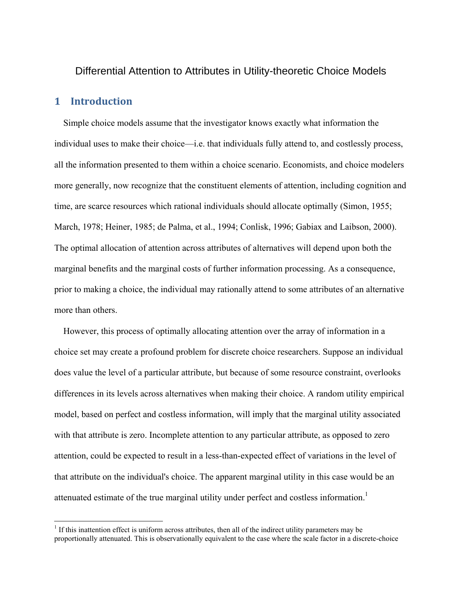### Differential Attention to Attributes in Utility-theoretic Choice Models

# **1 Introduction**

 $\overline{a}$ 

 Simple choice models assume that the investigator knows exactly what information the individual uses to make their choice—i.e. that individuals fully attend to, and costlessly process, all the information presented to them within a choice scenario. Economists, and choice modelers more generally, now recognize that the constituent elements of attention, including cognition and time, are scarce resources which rational individuals should allocate optimally (Simon, 1955; March, 1978; Heiner, 1985; de Palma, et al., 1994; Conlisk, 1996; Gabiax and Laibson, 2000). The optimal allocation of attention across attributes of alternatives will depend upon both the marginal benefits and the marginal costs of further information processing. As a consequence, prior to making a choice, the individual may rationally attend to some attributes of an alternative more than others.

 However, this process of optimally allocating attention over the array of information in a choice set may create a profound problem for discrete choice researchers. Suppose an individual does value the level of a particular attribute, but because of some resource constraint, overlooks differences in its levels across alternatives when making their choice. A random utility empirical model, based on perfect and costless information, will imply that the marginal utility associated with that attribute is zero. Incomplete attention to any particular attribute, as opposed to zero attention, could be expected to result in a less-than-expected effect of variations in the level of that attribute on the individual's choice. The apparent marginal utility in this case would be an attenuated estimate of the true marginal utility under perfect and costless information.<sup>1</sup>

 $<sup>1</sup>$  If this inattention effect is uniform across attributes, then all of the indirect utility parameters may be</sup> proportionally attenuated. This is observationally equivalent to the case where the scale factor in a discrete-choice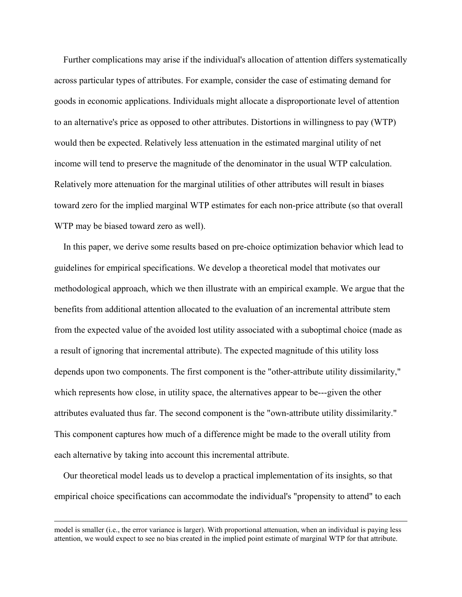Further complications may arise if the individual's allocation of attention differs systematically across particular types of attributes. For example, consider the case of estimating demand for goods in economic applications. Individuals might allocate a disproportionate level of attention to an alternative's price as opposed to other attributes. Distortions in willingness to pay (WTP) would then be expected. Relatively less attenuation in the estimated marginal utility of net income will tend to preserve the magnitude of the denominator in the usual WTP calculation. Relatively more attenuation for the marginal utilities of other attributes will result in biases toward zero for the implied marginal WTP estimates for each non-price attribute (so that overall WTP may be biased toward zero as well).

 In this paper, we derive some results based on pre-choice optimization behavior which lead to guidelines for empirical specifications. We develop a theoretical model that motivates our methodological approach, which we then illustrate with an empirical example. We argue that the benefits from additional attention allocated to the evaluation of an incremental attribute stem from the expected value of the avoided lost utility associated with a suboptimal choice (made as a result of ignoring that incremental attribute). The expected magnitude of this utility loss depends upon two components. The first component is the "other-attribute utility dissimilarity," which represents how close, in utility space, the alternatives appear to be---given the other attributes evaluated thus far. The second component is the "own-attribute utility dissimilarity." This component captures how much of a difference might be made to the overall utility from each alternative by taking into account this incremental attribute.

 Our theoretical model leads us to develop a practical implementation of its insights, so that empirical choice specifications can accommodate the individual's "propensity to attend" to each

model is smaller (i.e., the error variance is larger). With proportional attenuation, when an individual is paying less attention, we would expect to see no bias created in the implied point estimate of marginal WTP for that attribute.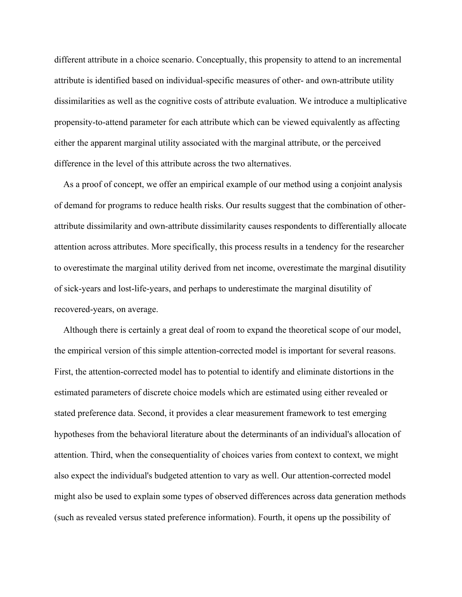different attribute in a choice scenario. Conceptually, this propensity to attend to an incremental attribute is identified based on individual-specific measures of other- and own-attribute utility dissimilarities as well as the cognitive costs of attribute evaluation. We introduce a multiplicative propensity-to-attend parameter for each attribute which can be viewed equivalently as affecting either the apparent marginal utility associated with the marginal attribute, or the perceived difference in the level of this attribute across the two alternatives.

 As a proof of concept, we offer an empirical example of our method using a conjoint analysis of demand for programs to reduce health risks. Our results suggest that the combination of otherattribute dissimilarity and own-attribute dissimilarity causes respondents to differentially allocate attention across attributes. More specifically, this process results in a tendency for the researcher to overestimate the marginal utility derived from net income, overestimate the marginal disutility of sick-years and lost-life-years, and perhaps to underestimate the marginal disutility of recovered-years, on average.

 Although there is certainly a great deal of room to expand the theoretical scope of our model, the empirical version of this simple attention-corrected model is important for several reasons. First, the attention-corrected model has to potential to identify and eliminate distortions in the estimated parameters of discrete choice models which are estimated using either revealed or stated preference data. Second, it provides a clear measurement framework to test emerging hypotheses from the behavioral literature about the determinants of an individual's allocation of attention. Third, when the consequentiality of choices varies from context to context, we might also expect the individual's budgeted attention to vary as well. Our attention-corrected model might also be used to explain some types of observed differences across data generation methods (such as revealed versus stated preference information). Fourth, it opens up the possibility of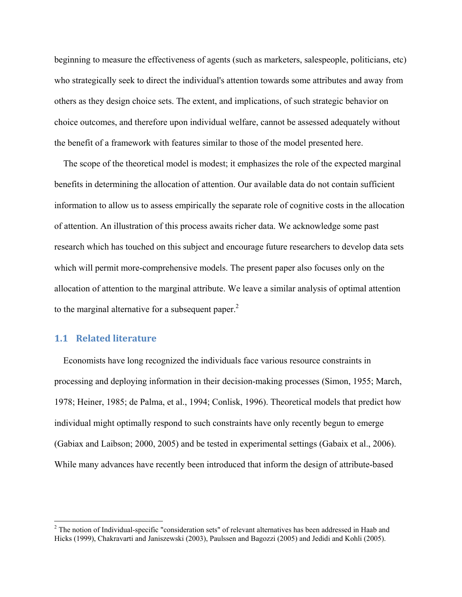beginning to measure the effectiveness of agents (such as marketers, salespeople, politicians, etc) who strategically seek to direct the individual's attention towards some attributes and away from others as they design choice sets. The extent, and implications, of such strategic behavior on choice outcomes, and therefore upon individual welfare, cannot be assessed adequately without the benefit of a framework with features similar to those of the model presented here.

 The scope of the theoretical model is modest; it emphasizes the role of the expected marginal benefits in determining the allocation of attention. Our available data do not contain sufficient information to allow us to assess empirically the separate role of cognitive costs in the allocation of attention. An illustration of this process awaits richer data. We acknowledge some past research which has touched on this subject and encourage future researchers to develop data sets which will permit more-comprehensive models. The present paper also focuses only on the allocation of attention to the marginal attribute. We leave a similar analysis of optimal attention to the marginal alternative for a subsequent paper. $<sup>2</sup>$ </sup>

## **1.1 Related literature**

 $\overline{a}$ 

 Economists have long recognized the individuals face various resource constraints in processing and deploying information in their decision-making processes (Simon, 1955; March, 1978; Heiner, 1985; de Palma, et al., 1994; Conlisk, 1996). Theoretical models that predict how individual might optimally respond to such constraints have only recently begun to emerge (Gabiax and Laibson; 2000, 2005) and be tested in experimental settings (Gabaix et al., 2006). While many advances have recently been introduced that inform the design of attribute-based

 $2$  The notion of Individual-specific "consideration sets" of relevant alternatives has been addressed in Haab and Hicks (1999), Chakravarti and Janiszewski (2003), Paulssen and Bagozzi (2005) and Jedidi and Kohli (2005).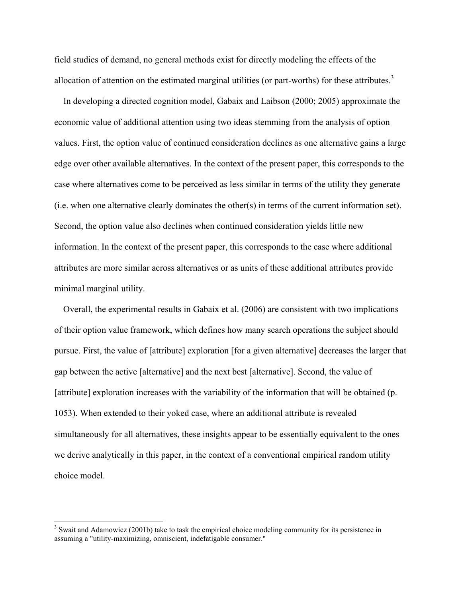field studies of demand, no general methods exist for directly modeling the effects of the allocation of attention on the estimated marginal utilities (or part-worths) for these attributes. $3$ 

 In developing a directed cognition model, Gabaix and Laibson (2000; 2005) approximate the economic value of additional attention using two ideas stemming from the analysis of option values. First, the option value of continued consideration declines as one alternative gains a large edge over other available alternatives. In the context of the present paper, this corresponds to the case where alternatives come to be perceived as less similar in terms of the utility they generate (i.e. when one alternative clearly dominates the other(s) in terms of the current information set). Second, the option value also declines when continued consideration yields little new information. In the context of the present paper, this corresponds to the case where additional attributes are more similar across alternatives or as units of these additional attributes provide minimal marginal utility.

 Overall, the experimental results in Gabaix et al. (2006) are consistent with two implications of their option value framework, which defines how many search operations the subject should pursue. First, the value of [attribute] exploration [for a given alternative] decreases the larger that gap between the active [alternative] and the next best [alternative]. Second, the value of [attribute] exploration increases with the variability of the information that will be obtained (p. 1053). When extended to their yoked case, where an additional attribute is revealed simultaneously for all alternatives, these insights appear to be essentially equivalent to the ones we derive analytically in this paper, in the context of a conventional empirical random utility choice model.

 $\overline{a}$ 

<sup>&</sup>lt;sup>3</sup> Swait and Adamowicz (2001b) take to task the empirical choice modeling community for its persistence in assuming a "utility-maximizing, omniscient, indefatigable consumer."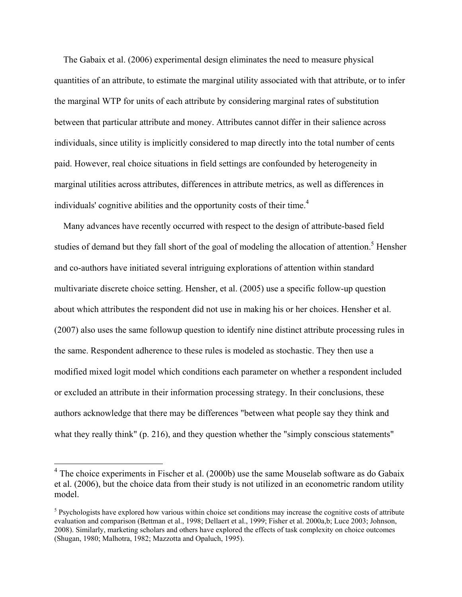The Gabaix et al. (2006) experimental design eliminates the need to measure physical quantities of an attribute, to estimate the marginal utility associated with that attribute, or to infer the marginal WTP for units of each attribute by considering marginal rates of substitution between that particular attribute and money. Attributes cannot differ in their salience across individuals, since utility is implicitly considered to map directly into the total number of cents paid. However, real choice situations in field settings are confounded by heterogeneity in marginal utilities across attributes, differences in attribute metrics, as well as differences in individuals' cognitive abilities and the opportunity costs of their time.<sup>4</sup>

 Many advances have recently occurred with respect to the design of attribute-based field studies of demand but they fall short of the goal of modeling the allocation of attention.<sup>5</sup> Hensher and co-authors have initiated several intriguing explorations of attention within standard multivariate discrete choice setting. Hensher, et al. (2005) use a specific follow-up question about which attributes the respondent did not use in making his or her choices. Hensher et al. (2007) also uses the same followup question to identify nine distinct attribute processing rules in the same. Respondent adherence to these rules is modeled as stochastic. They then use a modified mixed logit model which conditions each parameter on whether a respondent included or excluded an attribute in their information processing strategy. In their conclusions, these authors acknowledge that there may be differences "between what people say they think and what they really think" (p. 216), and they question whether the "simply conscious statements"

 $\overline{a}$ 

 $4$  The choice experiments in Fischer et al. (2000b) use the same Mouselab software as do Gabaix et al. (2006), but the choice data from their study is not utilized in an econometric random utility model.

 $<sup>5</sup>$  Psychologists have explored how various within choice set conditions may increase the cognitive costs of attribute</sup> evaluation and comparison (Bettman et al., 1998; Dellaert et al., 1999; Fisher et al. 2000a,b; Luce 2003; Johnson, 2008). Similarly, marketing scholars and others have explored the effects of task complexity on choice outcomes (Shugan, 1980; Malhotra, 1982; Mazzotta and Opaluch, 1995).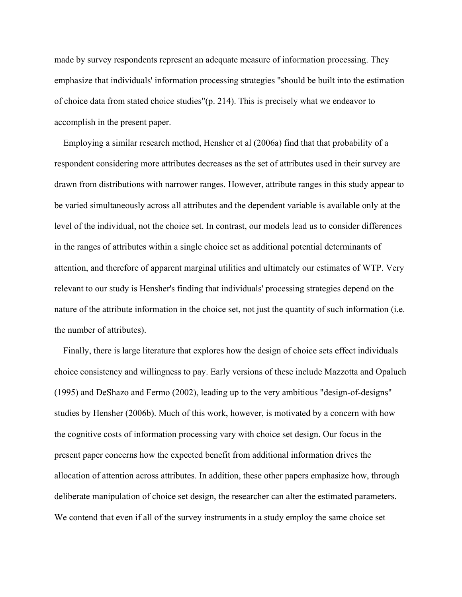made by survey respondents represent an adequate measure of information processing. They emphasize that individuals' information processing strategies "should be built into the estimation of choice data from stated choice studies"(p. 214). This is precisely what we endeavor to accomplish in the present paper.

 Employing a similar research method, Hensher et al (2006a) find that that probability of a respondent considering more attributes decreases as the set of attributes used in their survey are drawn from distributions with narrower ranges. However, attribute ranges in this study appear to be varied simultaneously across all attributes and the dependent variable is available only at the level of the individual, not the choice set. In contrast, our models lead us to consider differences in the ranges of attributes within a single choice set as additional potential determinants of attention, and therefore of apparent marginal utilities and ultimately our estimates of WTP. Very relevant to our study is Hensher's finding that individuals' processing strategies depend on the nature of the attribute information in the choice set, not just the quantity of such information (i.e. the number of attributes).

 Finally, there is large literature that explores how the design of choice sets effect individuals choice consistency and willingness to pay. Early versions of these include Mazzotta and Opaluch (1995) and DeShazo and Fermo (2002), leading up to the very ambitious "design-of-designs" studies by Hensher (2006b). Much of this work, however, is motivated by a concern with how the cognitive costs of information processing vary with choice set design. Our focus in the present paper concerns how the expected benefit from additional information drives the allocation of attention across attributes. In addition, these other papers emphasize how, through deliberate manipulation of choice set design, the researcher can alter the estimated parameters. We contend that even if all of the survey instruments in a study employ the same choice set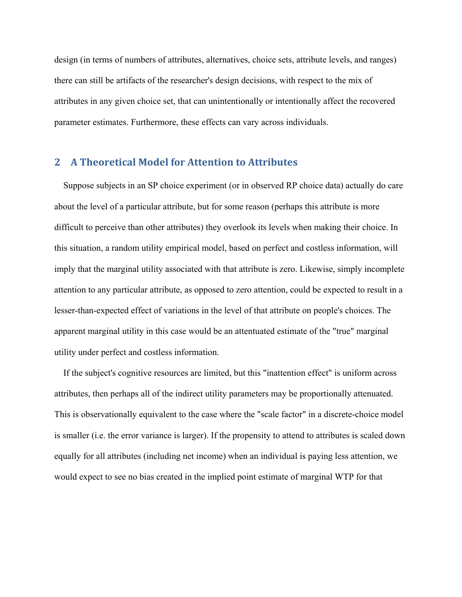design (in terms of numbers of attributes, alternatives, choice sets, attribute levels, and ranges) there can still be artifacts of the researcher's design decisions, with respect to the mix of attributes in any given choice set, that can unintentionally or intentionally affect the recovered parameter estimates. Furthermore, these effects can vary across individuals.

# **2 A Theoretical Model for Attention to Attributes**

 Suppose subjects in an SP choice experiment (or in observed RP choice data) actually do care about the level of a particular attribute, but for some reason (perhaps this attribute is more difficult to perceive than other attributes) they overlook its levels when making their choice. In this situation, a random utility empirical model, based on perfect and costless information, will imply that the marginal utility associated with that attribute is zero. Likewise, simply incomplete attention to any particular attribute, as opposed to zero attention, could be expected to result in a lesser-than-expected effect of variations in the level of that attribute on people's choices. The apparent marginal utility in this case would be an attentuated estimate of the "true" marginal utility under perfect and costless information.

 If the subject's cognitive resources are limited, but this "inattention effect" is uniform across attributes, then perhaps all of the indirect utility parameters may be proportionally attenuated. This is observationally equivalent to the case where the "scale factor" in a discrete-choice model is smaller (i.e. the error variance is larger). If the propensity to attend to attributes is scaled down equally for all attributes (including net income) when an individual is paying less attention, we would expect to see no bias created in the implied point estimate of marginal WTP for that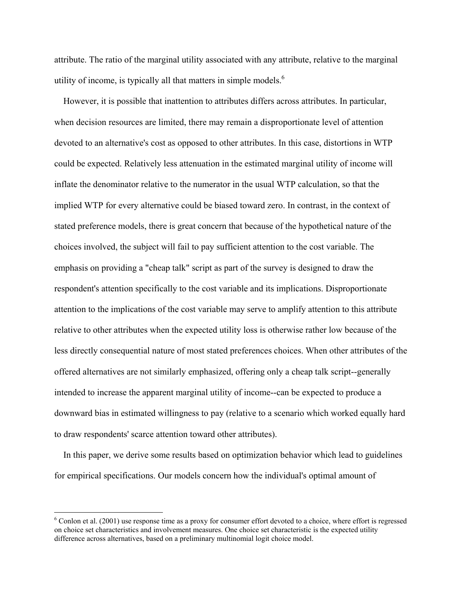attribute. The ratio of the marginal utility associated with any attribute, relative to the marginal utility of income, is typically all that matters in simple models. $<sup>6</sup>$ </sup>

 However, it is possible that inattention to attributes differs across attributes. In particular, when decision resources are limited, there may remain a disproportionate level of attention devoted to an alternative's cost as opposed to other attributes. In this case, distortions in WTP could be expected. Relatively less attenuation in the estimated marginal utility of income will inflate the denominator relative to the numerator in the usual WTP calculation, so that the implied WTP for every alternative could be biased toward zero. In contrast, in the context of stated preference models, there is great concern that because of the hypothetical nature of the choices involved, the subject will fail to pay sufficient attention to the cost variable. The emphasis on providing a "cheap talk" script as part of the survey is designed to draw the respondent's attention specifically to the cost variable and its implications. Disproportionate attention to the implications of the cost variable may serve to amplify attention to this attribute relative to other attributes when the expected utility loss is otherwise rather low because of the less directly consequential nature of most stated preferences choices. When other attributes of the offered alternatives are not similarly emphasized, offering only a cheap talk script--generally intended to increase the apparent marginal utility of income--can be expected to produce a downward bias in estimated willingness to pay (relative to a scenario which worked equally hard to draw respondents' scarce attention toward other attributes).

 In this paper, we derive some results based on optimization behavior which lead to guidelines for empirical specifications. Our models concern how the individual's optimal amount of

 $\overline{a}$ 

 $6$  Conlon et al. (2001) use response time as a proxy for consumer effort devoted to a choice, where effort is regressed on choice set characteristics and involvement measures. One choice set characteristic is the expected utility difference across alternatives, based on a preliminary multinomial logit choice model.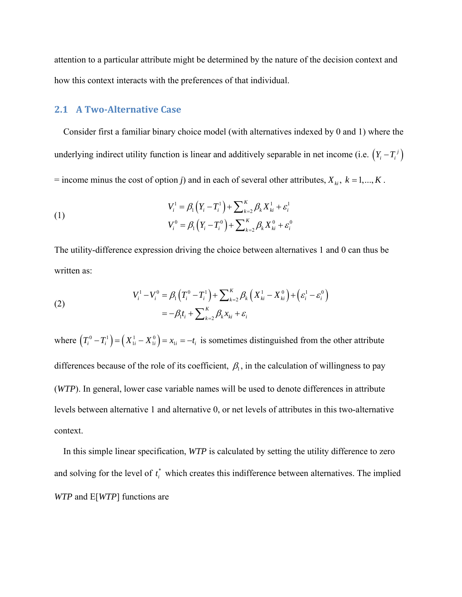attention to a particular attribute might be determined by the nature of the decision context and how this context interacts with the preferences of that individual.

# **2.1 A TwoAlternative Case**

 Consider first a familiar binary choice model (with alternatives indexed by 0 and 1) where the underlying indirect utility function is linear and additively separable in net income (i.e.  $(Y_i - T_i^j)$ ) = income minus the cost of option *j*) and in each of several other attributes,  $X_{ki}$ ,  $k = 1,..., K$ .

(1)  

$$
V_i^1 = \beta_1 (Y_i - T_i^1) + \sum_{k=2}^K \beta_k X_{ki}^1 + \varepsilon_i^1
$$

$$
V_i^0 = \beta_1 (Y_i - T_i^0) + \sum_{k=2}^K \beta_k X_{ki}^0 + \varepsilon_i^0
$$

The utility-difference expression driving the choice between alternatives 1 and 0 can thus be written as:

(2)  

$$
V_i^1 - V_i^0 = \beta_1 (T_i^0 - T_i^1) + \sum_{k=2}^K \beta_k (X_{ki}^1 - X_{ki}^0) + (\varepsilon_i^1 - \varepsilon_i^0)
$$

$$
= -\beta_1 t_i + \sum_{k=2}^K \beta_k x_{ki} + \varepsilon_i
$$

where  $(T_i^0 - T_i^1) = (X_{1i}^1 - X_{1i}^0) = x_{1i} = -t_i$  is sometimes distinguished from the other attribute differences because of the role of its coefficient,  $\beta_1$ , in the calculation of willingness to pay (*WTP*). In general, lower case variable names will be used to denote differences in attribute levels between alternative 1 and alternative 0, or net levels of attributes in this two-alternative context.

 In this simple linear specification, *WTP* is calculated by setting the utility difference to zero and solving for the level of  $t_i^*$  which creates this indifference between alternatives. The implied *WTP* and E[*WTP*] functions are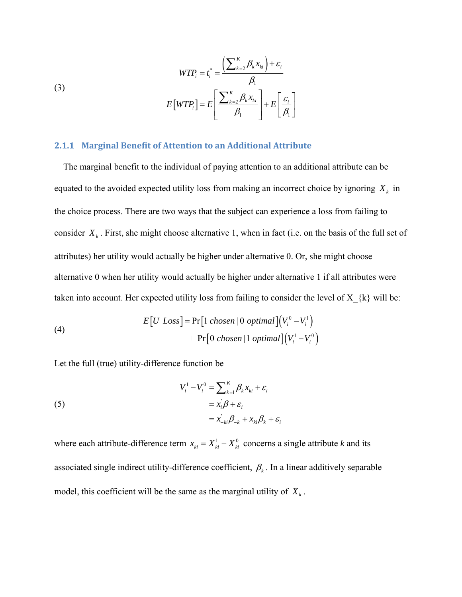(3)  

$$
WTP_i = t_i^* = \frac{\left(\sum_{k=2}^K \beta_k x_{ki}\right) + \varepsilon_i}{\beta_1}
$$

$$
E[WTP_i] = E\left[\frac{\sum_{k=2}^K \beta_k x_{ki}}{\beta_1}\right] + E\left[\frac{\varepsilon_i}{\beta_1}\right]
$$

### **2.1.1 Marginal Benefit of Attention to an Additional Attribute**

 The marginal benefit to the individual of paying attention to an additional attribute can be equated to the avoided expected utility loss from making an incorrect choice by ignoring  $X_k$  in the choice process. There are two ways that the subject can experience a loss from failing to consider  $X_k$ . First, she might choose alternative 1, when in fact (i.e. on the basis of the full set of attributes) her utility would actually be higher under alternative 0. Or, she might choose alternative 0 when her utility would actually be higher under alternative 1 if all attributes were taken into account. Her expected utility loss from failing to consider the level of  $X_{\leq}$ {k} will be:

(4)  
\n
$$
E[U \text{ Loss}] = Pr[1 \text{ chosen} | 0 \text{ optimal}] (V_i^0 - V_i^1)
$$
\n
$$
+ Pr[0 \text{ chosen} | 1 \text{ optimal}] (V_i^1 - V_i^0)
$$

Let the full (true) utility-difference function be

(5)  

$$
V_i^1 - V_i^0 = \sum_{k=1}^K \beta_k x_{ki} + \varepsilon_i
$$

$$
= x_i \beta + \varepsilon_i
$$

$$
= x_{-ki} \beta_{-k} + x_{ki} \beta_k + \varepsilon_i
$$

where each attribute-difference term  $x_{ki} = X_{ki}^1 - X_{ki}^0$  concerns a single attribute *k* and its associated single indirect utility-difference coefficient,  $\beta_k$ . In a linear additively separable model, this coefficient will be the same as the marginal utility of  $X_k$ .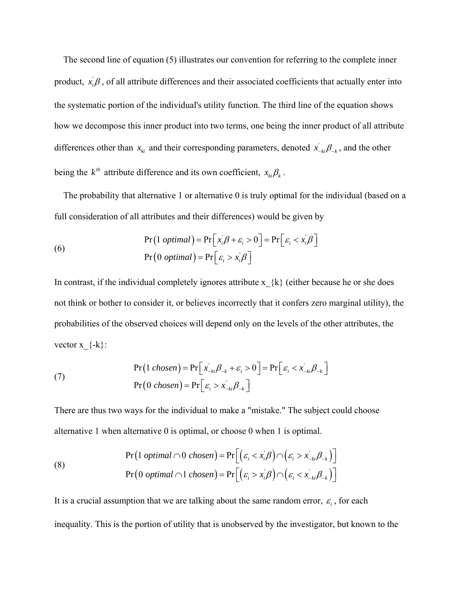The second line of equation (5) illustrates our convention for referring to the complete inner product,  $x_i^j \beta$ , of all attribute differences and their associated coefficients that actually enter into the systematic portion of the individual's utility function. The third line of the equation shows how we decompose this inner product into two terms, one being the inner product of all attribute differences other than  $x_{ki}$  and their corresponding parameters, denoted  $x_{-ki}^j \beta_{-k}$ , and the other being the  $k^{th}$  attribute difference and its own coefficient,  $x_{ki}\beta_k$ .

 The probability that alternative 1 or alternative 0 is truly optimal for the individual (based on a full consideration of all attributes and their differences) would be given by

(6)  
\n
$$
Pr(1 \text{ optimal}) = Pr[x_i \beta + \varepsilon_i > 0] = Pr[\varepsilon_i < x_i \beta]
$$
\n
$$
Pr(0 \text{ optimal}) = Pr[\varepsilon_i > x_i \beta]
$$

In contrast, if the individual completely ignores attribute  $x \{k\}$  (either because he or she does not think or bother to consider it, or believes incorrectly that it confers zero marginal utility), the probabilities of the observed choices will depend only on the levels of the other attributes, the vector  $x \{-k\}$ :

(7) 
$$
\Pr\left(1 \text{ chosen}\right) = \Pr\left[x_{-ki}\beta_{-k} + \varepsilon_i > 0\right] = \Pr\left[\varepsilon_i < x_{-ki}\beta_{-k}\right]
$$
\n
$$
\Pr\left(0 \text{ chosen}\right) = \Pr\left[\varepsilon_i > x_{-ki}^{\prime}\beta_{-k}\right]
$$

There are thus two ways for the individual to make a "mistake." The subject could choose alternative 1 when alternative 0 is optimal, or choose 0 when 1 is optimal.

(8)  
\n
$$
Pr(1 \text{ optimal } \cap 0 \text{ chosen}) = Pr[(\varepsilon_i < x_i)\beta] \cap (\varepsilon_i > x_{-ki}\beta_{-k})]
$$
\n
$$
Pr(0 \text{ optimal } \cap 1 \text{ chosen}) = Pr[(\varepsilon_i > x_i)\beta] \cap (\varepsilon_i < x_{-ki}\beta_{-k})]
$$

It is a crucial assumption that we are talking about the same random error,  $\varepsilon$ <sub>i</sub>, for each inequality. This is the portion of utility that is unobserved by the investigator, but known to the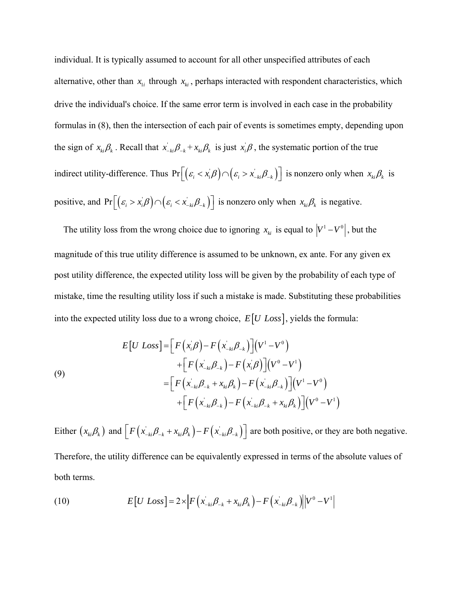individual. It is typically assumed to account for all other unspecified attributes of each alternative, other than  $x_{i}$  through  $x_{ki}$ , perhaps interacted with respondent characteristics, which drive the individual's choice. If the same error term is involved in each case in the probability formulas in (8), then the intersection of each pair of events is sometimes empty, depending upon the sign of  $x_{ki}\beta_k$ . Recall that  $x_{-ki}\beta_{-k} + x_{ki}\beta_k$  is just  $x_i'\beta$ , the systematic portion of the true indirect utility-difference. Thus  $Pr[(\varepsilon_i < x_i^j \beta) \cap (\varepsilon_i > x_{-ki}^j \beta_{-k})]$  is nonzero only when  $x_{ki} \beta_k$  is positive, and  $Pr\left[ (\varepsilon_i > x_i/\beta) \cap (\varepsilon_i < x_{-ki}/\beta_{-k}) \right]$  is nonzero only when  $x_{ki}/\beta_k$  is negative.

The utility loss from the wrong choice due to ignoring  $x_{ki}$  is equal to  $|V^1 - V^0|$ , but the magnitude of this true utility difference is assumed to be unknown, ex ante. For any given ex post utility difference, the expected utility loss will be given by the probability of each type of mistake, time the resulting utility loss if such a mistake is made. Substituting these probabilities into the expected utility loss due to a wrong choice,  $E[U \text{ Loss}]$ , yields the formula:

(9)  
\n
$$
E[U \text{ Loss}] = \left[ F(x_i \beta) - F(x_{-ki} \beta_{-k}) \right] (V^1 - V^0)
$$
\n
$$
+ \left[ F(x_{-ki} \beta_{-k}) - F(x_i \beta) \right] (V^0 - V^1)
$$
\n
$$
= \left[ F(x_{-ki} \beta_{-k} + x_{ki} \beta_k) - F(x_{-ki} \beta_{-k}) \right] (V^1 - V^0)
$$
\n
$$
+ \left[ F(x_{-ki} \beta_{-k}) - F(x_{-ki} \beta_{-k} + x_{ki} \beta_k) \right] (V^0 - V^1)
$$

Either  $(x_{ki}\beta_k)$  and  $\left[ F(x_{-ki}\beta_{-k} + x_{ki}\beta_k) - F(x_{-ki}\beta_{-k}) \right]$  are both positive, or they are both negative. Therefore, the utility difference can be equivalently expressed in terms of the absolute values of both terms.

(10) 
$$
E[U \text{ Loss}] = 2 \times \Big| F\Big(x_{-ki}\beta_{-k} + x_{ki}\beta_k\Big) - F\Big(x_{-ki} \beta_{-k}\Big) \Big| |V^0 - V^1|
$$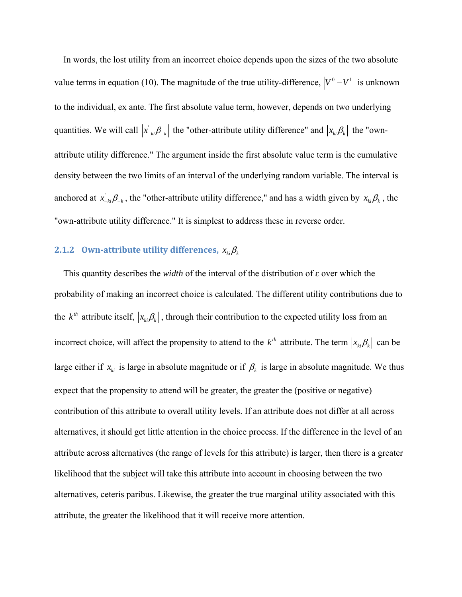In words, the lost utility from an incorrect choice depends upon the sizes of the two absolute value terms in equation (10). The magnitude of the true utility-difference,  $|V^0 - V^1|$  is unknown to the individual, ex ante. The first absolute value term, however, depends on two underlying quantities. We will call  $|x_{-ki}\beta_{-k}|$  the "other-attribute utility difference" and  $|x_{ki}\beta_k|$  the "ownattribute utility difference." The argument inside the first absolute value term is the cumulative density between the two limits of an interval of the underlying random variable. The interval is anchored at  $x_{-ki}\beta_{-k}$ , the "other-attribute utility difference," and has a width given by  $x_{ki}\beta_k$ , the "own-attribute utility difference." It is simplest to address these in reverse order.

# **2.1.2 Own-attribute utility differences,**  $x_{ki}\beta_k$

 This quantity describes the *width* of the interval of the distribution of ɛ over which the probability of making an incorrect choice is calculated. The different utility contributions due to the  $k^{th}$  attribute itself,  $x_{ki} \beta_k$ , through their contribution to the expected utility loss from an incorrect choice, will affect the propensity to attend to the  $k^{th}$  attribute. The term  $|x_{ki}\beta_k|$  can be large either if  $x_{ki}$  is large in absolute magnitude or if  $\beta_k$  is large in absolute magnitude. We thus expect that the propensity to attend will be greater, the greater the (positive or negative) contribution of this attribute to overall utility levels. If an attribute does not differ at all across alternatives, it should get little attention in the choice process. If the difference in the level of an attribute across alternatives (the range of levels for this attribute) is larger, then there is a greater likelihood that the subject will take this attribute into account in choosing between the two alternatives, ceteris paribus. Likewise, the greater the true marginal utility associated with this attribute, the greater the likelihood that it will receive more attention.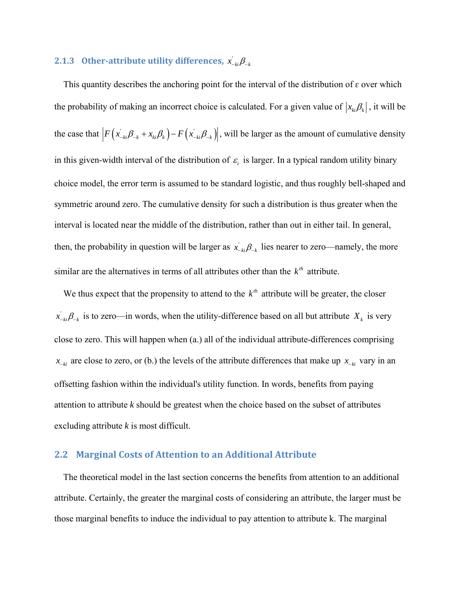# **2.1.3** Other-attribute utility differences,  $x_{-ki}\beta_{-k}$

This quantity describes the anchoring point for the interval of the distribution of  $\varepsilon$  over which the probability of making an incorrect choice is calculated. For a given value of  $|x_{ki}\beta_k|$ , it will be the case that  $\left| F(x_k) - F(x_k) - F(x_k) \right|$ , will be larger as the amount of cumulative density in this given-width interval of the distribution of  $\varepsilon$  is larger. In a typical random utility binary choice model, the error term is assumed to be standard logistic, and thus roughly bell-shaped and symmetric around zero. The cumulative density for such a distribution is thus greater when the interval is located near the middle of the distribution, rather than out in either tail. In general, then, the probability in question will be larger as  $x_{-ki}^j \beta_{-k}$  lies nearer to zero—namely, the more similar are the alternatives in terms of all attributes other than the  $k^{\text{th}}$  attribute.

We thus expect that the propensity to attend to the  $k^{th}$  attribute will be greater, the closer  $x_{-ki}'\beta_{-k}$  is to zero—in words, when the utility-difference based on all but attribute  $X_k$  is very close to zero. This will happen when (a.) all of the individual attribute-differences comprising  $x_{-ki}$  are close to zero, or (b.) the levels of the attribute differences that make up  $x_{-ki}$  vary in an offsetting fashion within the individual's utility function. In words, benefits from paying attention to attribute *k* should be greatest when the choice based on the subset of attributes excluding attribute *k* is most difficult.

### **2.2 Marginal Costs of Attention to an Additional Attribute**

 The theoretical model in the last section concerns the benefits from attention to an additional attribute. Certainly, the greater the marginal costs of considering an attribute, the larger must be those marginal benefits to induce the individual to pay attention to attribute k. The marginal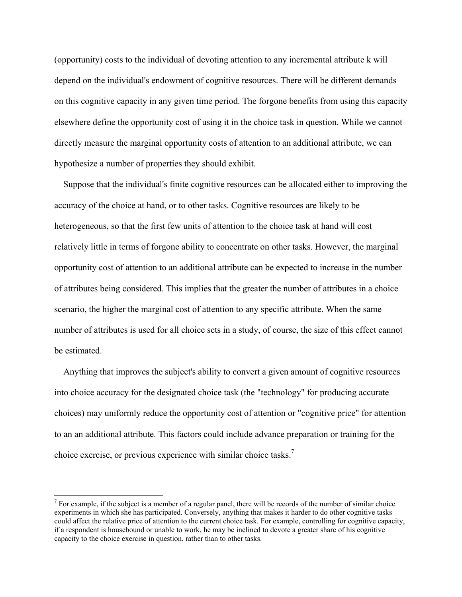(opportunity) costs to the individual of devoting attention to any incremental attribute k will depend on the individual's endowment of cognitive resources. There will be different demands on this cognitive capacity in any given time period. The forgone benefits from using this capacity elsewhere define the opportunity cost of using it in the choice task in question. While we cannot directly measure the marginal opportunity costs of attention to an additional attribute, we can hypothesize a number of properties they should exhibit.

 Suppose that the individual's finite cognitive resources can be allocated either to improving the accuracy of the choice at hand, or to other tasks. Cognitive resources are likely to be heterogeneous, so that the first few units of attention to the choice task at hand will cost relatively little in terms of forgone ability to concentrate on other tasks. However, the marginal opportunity cost of attention to an additional attribute can be expected to increase in the number of attributes being considered. This implies that the greater the number of attributes in a choice scenario, the higher the marginal cost of attention to any specific attribute. When the same number of attributes is used for all choice sets in a study, of course, the size of this effect cannot be estimated.

 Anything that improves the subject's ability to convert a given amount of cognitive resources into choice accuracy for the designated choice task (the "technology" for producing accurate choices) may uniformly reduce the opportunity cost of attention or "cognitive price" for attention to an an additional attribute. This factors could include advance preparation or training for the choice exercise, or previous experience with similar choice tasks.7

 $\overline{a}$ 

<sup>&</sup>lt;sup>7</sup> For example, if the subject is a member of a regular panel, there will be records of the number of similar choice experiments in which she has participated. Conversely, anything that makes it harder to do other cognitive tasks could affect the relative price of attention to the current choice task. For example, controlling for cognitive capacity, if a respondent is housebound or unable to work, he may be inclined to devote a greater share of his cognitive capacity to the choice exercise in question, rather than to other tasks.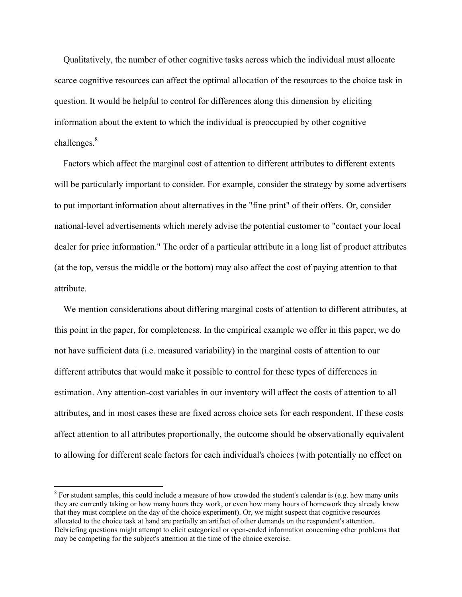Qualitatively, the number of other cognitive tasks across which the individual must allocate scarce cognitive resources can affect the optimal allocation of the resources to the choice task in question. It would be helpful to control for differences along this dimension by eliciting information about the extent to which the individual is preoccupied by other cognitive  $chall$ enges. $8<sup>8</sup>$ 

 Factors which affect the marginal cost of attention to different attributes to different extents will be particularly important to consider. For example, consider the strategy by some advertisers to put important information about alternatives in the "fine print" of their offers. Or, consider national-level advertisements which merely advise the potential customer to "contact your local dealer for price information." The order of a particular attribute in a long list of product attributes (at the top, versus the middle or the bottom) may also affect the cost of paying attention to that attribute.

 We mention considerations about differing marginal costs of attention to different attributes, at this point in the paper, for completeness. In the empirical example we offer in this paper, we do not have sufficient data (i.e. measured variability) in the marginal costs of attention to our different attributes that would make it possible to control for these types of differences in estimation. Any attention-cost variables in our inventory will affect the costs of attention to all attributes, and in most cases these are fixed across choice sets for each respondent. If these costs affect attention to all attributes proportionally, the outcome should be observationally equivalent to allowing for different scale factors for each individual's choices (with potentially no effect on

 $\overline{a}$ 

 $8$  For student samples, this could include a measure of how crowded the student's calendar is (e.g. how many units they are currently taking or how many hours they work, or even how many hours of homework they already know that they must complete on the day of the choice experiment). Or, we might suspect that cognitive resources allocated to the choice task at hand are partially an artifact of other demands on the respondent's attention. Debriefing questions might attempt to elicit categorical or open-ended information concerning other problems that may be competing for the subject's attention at the time of the choice exercise.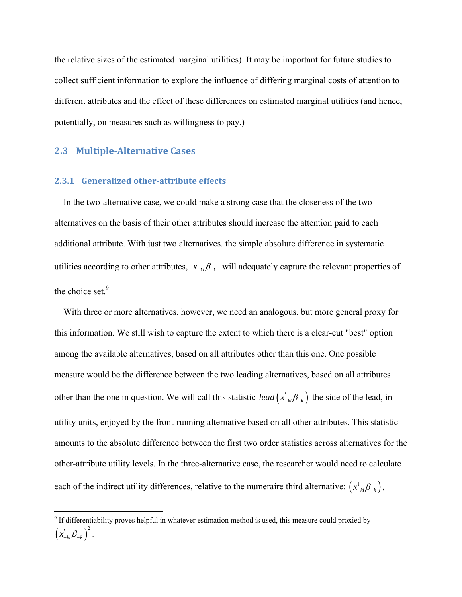the relative sizes of the estimated marginal utilities). It may be important for future studies to collect sufficient information to explore the influence of differing marginal costs of attention to different attributes and the effect of these differences on estimated marginal utilities (and hence, potentially, on measures such as willingness to pay.)

# **2.3 MultipleAlternative Cases**

### **2.3.1 Generalized otherattribute effects**

 In the two-alternative case, we could make a strong case that the closeness of the two alternatives on the basis of their other attributes should increase the attention paid to each additional attribute. With just two alternatives. the simple absolute difference in systematic utilities according to other attributes,  $x_{-ki}$   $\beta_{-k}$  will adequately capture the relevant properties of the choice set.<sup>9</sup>

 With three or more alternatives, however, we need an analogous, but more general proxy for this information. We still wish to capture the extent to which there is a clear-cut "best" option among the available alternatives, based on all attributes other than this one. One possible measure would be the difference between the two leading alternatives, based on all attributes other than the one in question. We will call this statistic *lead*  $(x_{-ki}\beta_{-k})$  the side of the lead, in utility units, enjoyed by the front-running alternative based on all other attributes. This statistic amounts to the absolute difference between the first two order statistics across alternatives for the other-attribute utility levels. In the three-alternative case, the researcher would need to calculate each of the indirect utility differences, relative to the numeraire third alternative:  $(x_{-ki}^{\perp} \beta_{-k})$ ,

<sup>&</sup>lt;sup>9</sup> If differentiability proves helpful in whatever estimation method is used, this measure could proxied by  $\left(x_{-ki}^{'}\beta_{-k}\right)^2$  .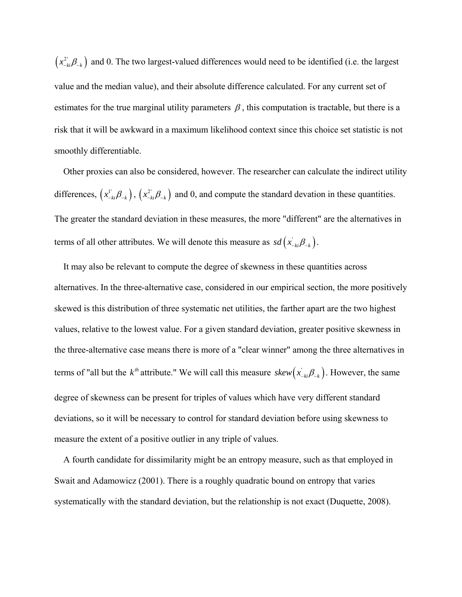$(x_{-ki}^2 \beta_{-k})$  and 0. The two largest-valued differences would need to be identified (i.e. the largest value and the median value), and their absolute difference calculated. For any current set of estimates for the true marginal utility parameters  $\beta$ , this computation is tractable, but there is a risk that it will be awkward in a maximum likelihood context since this choice set statistic is not smoothly differentiable.

 Other proxies can also be considered, however. The researcher can calculate the indirect utility differences,  $(x_{-ki}^{\perp} \beta_{-k})$ ,  $(x_{-ki}^2 \beta_{-k})$  and 0, and compute the standard devation in these quantities. The greater the standard deviation in these measures, the more "different" are the alternatives in terms of all other attributes. We will denote this measure as  $sd(x_{-ki} \beta_{-k})$ .

 It may also be relevant to compute the degree of skewness in these quantities across alternatives. In the three-alternative case, considered in our empirical section, the more positively skewed is this distribution of three systematic net utilities, the farther apart are the two highest values, relative to the lowest value. For a given standard deviation, greater positive skewness in the three-alternative case means there is more of a "clear winner" among the three alternatives in terms of "all but the  $k^{\text{th}}$  attribute." We will call this measure  $skew(x_{-ki}^{\prime} \beta_{-k})$ . However, the same degree of skewness can be present for triples of values which have very different standard deviations, so it will be necessary to control for standard deviation before using skewness to measure the extent of a positive outlier in any triple of values.

 A fourth candidate for dissimilarity might be an entropy measure, such as that employed in Swait and Adamowicz (2001). There is a roughly quadratic bound on entropy that varies systematically with the standard deviation, but the relationship is not exact (Duquette, 2008).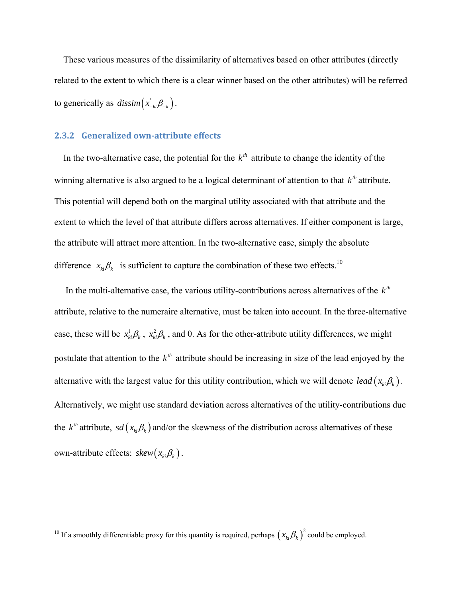These various measures of the dissimilarity of alternatives based on other attributes (directly related to the extent to which there is a clear winner based on the other attributes) will be referred to generically as  $dissim(x_{-ki}\beta_{-k})$ .

### **2.3.2 Generalized ownattribute effects**

In the two-alternative case, the potential for the  $k<sup>th</sup>$  attribute to change the identity of the winning alternative is also argued to be a logical determinant of attention to that  $k<sup>th</sup>$  attribute. This potential will depend both on the marginal utility associated with that attribute and the extent to which the level of that attribute differs across alternatives. If either component is large, the attribute will attract more attention. In the two-alternative case, simply the absolute difference  $|x_{ki}\beta_k|$  is sufficient to capture the combination of these two effects.<sup>10</sup>

In the multi-alternative case, the various utility-contributions across alternatives of the  $k^{th}$ attribute, relative to the numeraire alternative, must be taken into account. In the three-alternative case, these will be  $x_{ki}^1 \beta_k$ ,  $x_{ki}^2 \beta_k$ , and 0. As for the other-attribute utility differences, we might postulate that attention to the  $k^{th}$  attribute should be increasing in size of the lead enjoyed by the alternative with the largest value for this utility contribution, which we will denote *lead*  $(x_{ki}\beta_k)$ . Alternatively, we might use standard deviation across alternatives of the utility-contributions due the  $k^{th}$  attribute, sd  $(x_{ki}\beta_k)$  and/or the skewness of the distribution across alternatives of these own-attribute effects:  $skew(x_{ki} \beta_k)$ .

 $\overline{a}$ 

<sup>&</sup>lt;sup>10</sup> If a smoothly differentiable proxy for this quantity is required, perhaps  $(x_{ki} \beta_k)^2$  could be employed.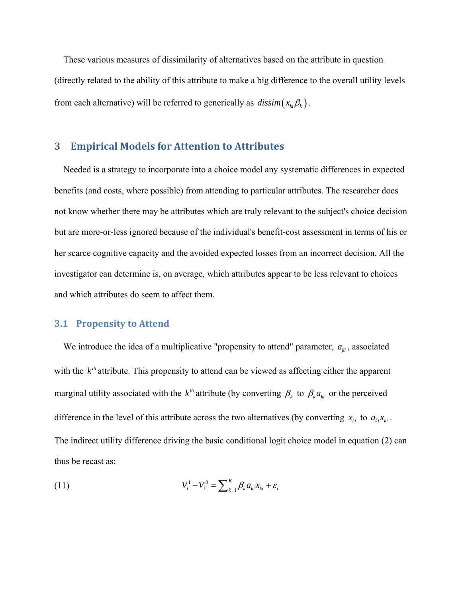These various measures of dissimilarity of alternatives based on the attribute in question (directly related to the ability of this attribute to make a big difference to the overall utility levels from each alternative) will be referred to generically as  $dissim(x_{ki}\beta_k)$ .

# **3 Empirical Models for Attention to Attributes**

 Needed is a strategy to incorporate into a choice model any systematic differences in expected benefits (and costs, where possible) from attending to particular attributes. The researcher does not know whether there may be attributes which are truly relevant to the subject's choice decision but are more-or-less ignored because of the individual's benefit-cost assessment in terms of his or her scarce cognitive capacity and the avoided expected losses from an incorrect decision. All the investigator can determine is, on average, which attributes appear to be less relevant to choices and which attributes do seem to affect them.

# **3.1 Propensity to Attend**

We introduce the idea of a multiplicative "propensity to attend" parameter,  $a_{ki}$ , associated with the  $k^{th}$  attribute. This propensity to attend can be viewed as affecting either the apparent marginal utility associated with the  $k^{th}$  attribute (by converting  $\beta_k$  to  $\beta_k a_{ki}$  or the perceived difference in the level of this attribute across the two alternatives (by converting  $x_{ki}$  to  $a_{ki}x_{ki}$ . The indirect utility difference driving the basic conditional logit choice model in equation (2) can thus be recast as:

$$
(11) \t\t\t V_i^1 - V_i^0 = \sum_{k=1}^K \beta_k a_{ki} x_{ki} + \varepsilon_i
$$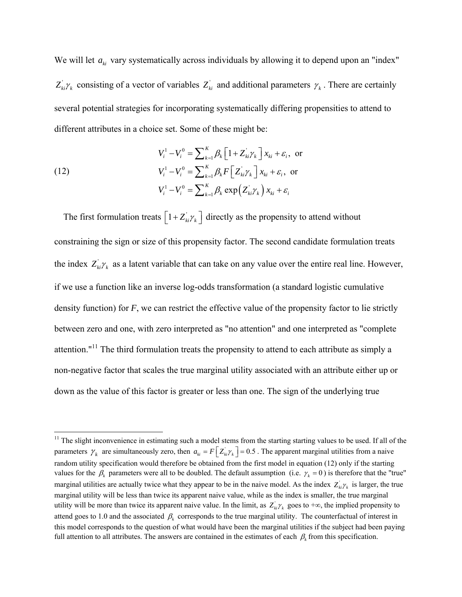We will let  $a_{ki}$  vary systematically across individuals by allowing it to depend upon an "index"  $Z'_{ki}\gamma_k$  consisting of a vector of variables  $Z'_{ki}$  and additional parameters  $\gamma_k$ . There are certainly several potential strategies for incorporating systematically differing propensities to attend to different attributes in a choice set. Some of these might be:

(12) 
$$
V_i^1 - V_i^0 = \sum_{k=1}^K \beta_k \left[ 1 + Z_{ki}^{\dagger} \gamma_k \right] x_{ki} + \varepsilon_i, \text{ or}
$$

$$
V_i^1 - V_i^0 = \sum_{k=1}^K \beta_k F \left[ Z_{ki}^{\dagger} \gamma_k \right] x_{ki} + \varepsilon_i, \text{ or}
$$

$$
V_i^1 - V_i^0 = \sum_{k=1}^K \beta_k \exp \left( Z_{ki}^{\dagger} \gamma_k \right) x_{ki} + \varepsilon_i
$$

 $\overline{a}$ 

The first formulation treats  $\left[1 + Z_{ki}^{\dagger} \gamma_k \right]$  directly as the propensity to attend without constraining the sign or size of this propensity factor. The second candidate formulation treats the index  $Z_{ki}^{\prime} \gamma_k$  as a latent variable that can take on any value over the entire real line. However, if we use a function like an inverse log-odds transformation (a standard logistic cumulative density function) for *F*, we can restrict the effective value of the propensity factor to lie strictly between zero and one, with zero interpreted as "no attention" and one interpreted as "complete attention."<sup>11</sup> The third formulation treats the propensity to attend to each attribute as simply a non-negative factor that scales the true marginal utility associated with an attribute either up or down as the value of this factor is greater or less than one. The sign of the underlying true

 $11$  The slight inconvenience in estimating such a model stems from the starting starting values to be used. If all of the parameters  $\gamma_k$  are simultaneously zero, then  $a_{ki} = F\left[Z_{ki}^{\dagger}\gamma_k\right] = 0.5$ . The apparent marginal utilities from a naive random utility specification would therefore be obtained from the first model in equation (12) only if the starting values for the  $\beta_k$  parameters were all to be doubled. The default assumption (i.e.  $\gamma_k = 0$ ) is therefore that the "true" marginal utilities are actually twice what they appear to be in the naive model. As the index  $Z'_{ki}\gamma_k$  is larger, the true marginal utility will be less than twice its apparent naive value, while as the index is smaller, the true marginal utility will be more than twice its apparent naive value. In the limit, as  $Z_{ki}\gamma_k$  goes to + $\infty$ , the implied propensity to attend goes to 1.0 and the associated  $\beta_k$  corresponds to the true marginal utility. The counterfactual of interest in this model corresponds to the question of what would have been the marginal utilities if the subject had been paying full attention to all attributes. The answers are contained in the estimates of each  $\beta_k$  from this specification.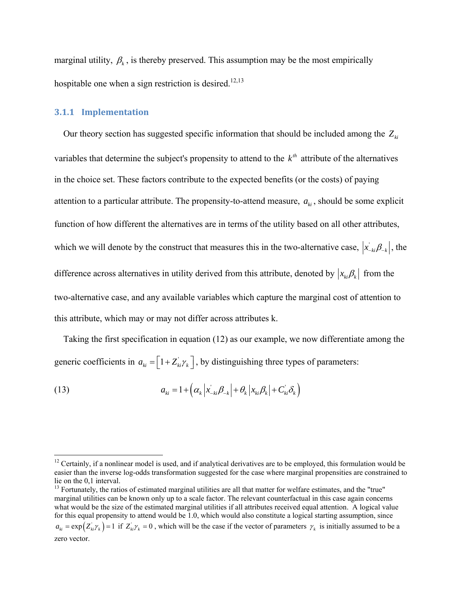marginal utility,  $\beta_k$ , is thereby preserved. This assumption may be the most empirically hospitable one when a sign restriction is desired.<sup>12,13</sup>

### **3.1.1 Implementation**

 $\overline{a}$ 

Our theory section has suggested specific information that should be included among the  $Z_{ki}$ variables that determine the subject's propensity to attend to the  $k^{th}$  attribute of the alternatives in the choice set. These factors contribute to the expected benefits (or the costs) of paying attention to a particular attribute. The propensity-to-attend measure,  $a_{ki}$ , should be some explicit function of how different the alternatives are in terms of the utility based on all other attributes, which we will denote by the construct that measures this in the two-alternative case,  $x_{-ki}^j \beta_{-k}$ , the difference across alternatives in utility derived from this attribute, denoted by  $x_{ki}\beta_k$  from the two-alternative case, and any available variables which capture the marginal cost of attention to this attribute, which may or may not differ across attributes k.

 Taking the first specification in equation (12) as our example, we now differentiate among the generic coefficients in  $a_{ki} = \left[1 + Z_{ki} \gamma_k\right]$ , by distinguishing three types of parameters:

(13) 
$$
a_{ki} = 1 + \left(\alpha_k \left| x_{-ki} \beta_{-k} \right| + \theta_k \left| x_{ki} \beta_k \right| + C_{ki} \delta_k \right)
$$

 $12$  Certainly, if a nonlinear model is used, and if analytical derivatives are to be employed, this formulation would be easier than the inverse log-odds transformation suggested for the case where marginal propensities are constrained to lie on the 0,1 interval.

<sup>&</sup>lt;sup>13</sup> Fortunately, the ratios of estimated marginal utilities are all that matter for welfare estimates, and the "true" marginal utilities can be known only up to a scale factor. The relevant counterfactual in this case again concerns what would be the size of the estimated marginal utilities if all attributes received equal attention. A logical value for this equal propensity to attend would be 1.0, which would also constitute a logical starting assumption, since  $a_{ki} = \exp(Z_{ki} \gamma_k) = 1$  if  $Z_{ki} \gamma_k = 0$ , which will be the case if the vector of parameters  $\gamma_k$  is initially assumed to be a zero vector.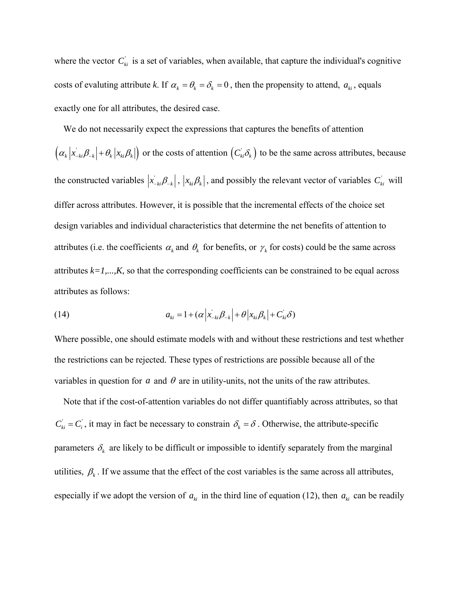where the vector  $C_{ki}$  is a set of variables, when available, that capture the individual's cognitive costs of evaluting attribute *k*. If  $\alpha_k = \theta_k = \delta_k = 0$ , then the propensity to attend,  $a_{ki}$ , equals exactly one for all attributes, the desired case.

We do not necessarily expect the expressions that captures the benefits of attention

 $\left(\alpha_k | x_{-ki} \beta_{-k} | + \theta_k | x_{ki} \beta_k | \right)$  or the costs of attention  $\left(C_{ki} \delta_k \right)$  to be the same across attributes, because the constructed variables  $|x_{-ki}\beta_{-k}|$ ,  $|x_{ki}\beta_k|$ , and possibly the relevant vector of variables  $C_{ki}$  will differ across attributes. However, it is possible that the incremental effects of the choice set design variables and individual characteristics that determine the net benefits of attention to attributes (i.e. the coefficients  $\alpha_k$  and  $\theta_k$  for benefits, or  $\gamma_k$  for costs) could be the same across attributes  $k=1,\ldots,K$ , so that the corresponding coefficients can be constrained to be equal across attributes as follows:

(14) 
$$
a_{ki} = 1 + (\alpha \left| x_{-ki} \beta_{-k} \right| + \theta \left| x_{ki} \beta_k \right| + C_{ki} \delta)
$$

Where possible, one should estimate models with and without these restrictions and test whether the restrictions can be rejected. These types of restrictions are possible because all of the variables in question for  $a$  and  $\theta$  are in utility-units, not the units of the raw attributes.

 Note that if the cost-of-attention variables do not differ quantifiably across attributes, so that  $C_{ki} = C_i$ , it may in fact be necessary to constrain  $\delta_k = \delta$ . Otherwise, the attribute-specific parameters  $\delta_k$  are likely to be difficult or impossible to identify separately from the marginal utilities,  $\beta_k$ . If we assume that the effect of the cost variables is the same across all attributes, especially if we adopt the version of  $a_{ki}$  in the third line of equation (12), then  $a_{ki}$  can be readily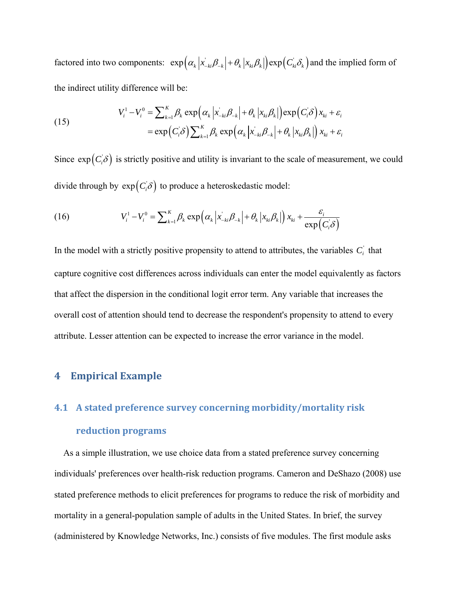factored into two components:  $\exp(\alpha_k | x_{-ki} \beta_{-k} | + \theta_k | x_{ki} \beta_k |) \exp(C_{ki} \delta_k)$  and the implied form of the indirect utility difference will be:

(15) 
$$
V_i^1 - V_i^0 = \sum_{k=1}^K \beta_k \exp\left(\alpha_k \left| x_{-ki} \beta_{-k} \right| + \theta_k \left| x_{ki} \beta_k \right| \right) \exp\left(C_i \delta\right) x_{ki} + \varepsilon_i
$$

$$
= \exp\left(C_i \delta\right) \sum_{k=1}^K \beta_k \exp\left(\alpha_k \left| x_{-ki} \beta_{-k} \right| + \theta_k \left| x_{ki} \beta_k \right| \right) x_{ki} + \varepsilon_i
$$

Since  $\exp(C_i \delta)$  is strictly positive and utility is invariant to the scale of measurement, we could divide through by  $exp(C_i \delta)$  to produce a heteroskedastic model:

(16) 
$$
V_i^1 - V_i^0 = \sum_{k=1}^K \beta_k \exp\left(\alpha_k \left| x_{-ki} \beta_{-k} \right| + \theta_k \left| x_{ki} \beta_k \right| \right) x_{ki} + \frac{\varepsilon_i}{\exp\left(C_i \delta\right)}
$$

In the model with a strictly positive propensity to attend to attributes, the variables  $C_i$ <sup>'</sup> that capture cognitive cost differences across individuals can enter the model equivalently as factors that affect the dispersion in the conditional logit error term. Any variable that increases the overall cost of attention should tend to decrease the respondent's propensity to attend to every attribute. Lesser attention can be expected to increase the error variance in the model.

# **4 Empirical Example**

# **4.1 A stated preference survey concerning morbidity/mortality risk reduction programs**

 As a simple illustration, we use choice data from a stated preference survey concerning individuals' preferences over health-risk reduction programs. Cameron and DeShazo (2008) use stated preference methods to elicit preferences for programs to reduce the risk of morbidity and mortality in a general-population sample of adults in the United States. In brief, the survey (administered by Knowledge Networks, Inc.) consists of five modules. The first module asks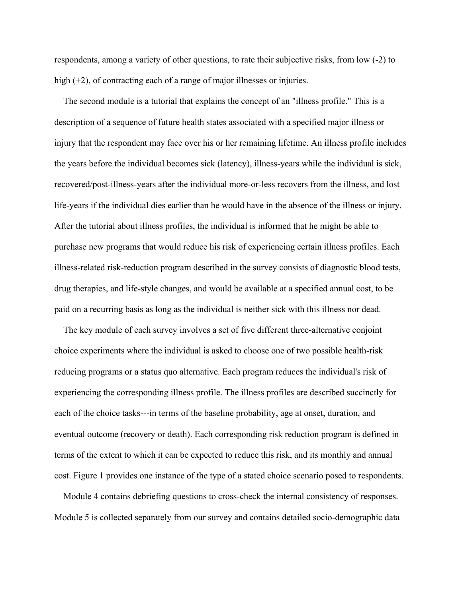respondents, among a variety of other questions, to rate their subjective risks, from low (-2) to high (+2), of contracting each of a range of major illnesses or injuries.

 The second module is a tutorial that explains the concept of an "illness profile." This is a description of a sequence of future health states associated with a specified major illness or injury that the respondent may face over his or her remaining lifetime. An illness profile includes the years before the individual becomes sick (latency), illness-years while the individual is sick, recovered/post-illness-years after the individual more-or-less recovers from the illness, and lost life-years if the individual dies earlier than he would have in the absence of the illness or injury. After the tutorial about illness profiles, the individual is informed that he might be able to purchase new programs that would reduce his risk of experiencing certain illness profiles. Each illness-related risk-reduction program described in the survey consists of diagnostic blood tests, drug therapies, and life-style changes, and would be available at a specified annual cost, to be paid on a recurring basis as long as the individual is neither sick with this illness nor dead.

 The key module of each survey involves a set of five different three-alternative conjoint choice experiments where the individual is asked to choose one of two possible health-risk reducing programs or a status quo alternative. Each program reduces the individual's risk of experiencing the corresponding illness profile. The illness profiles are described succinctly for each of the choice tasks---in terms of the baseline probability, age at onset, duration, and eventual outcome (recovery or death). Each corresponding risk reduction program is defined in terms of the extent to which it can be expected to reduce this risk, and its monthly and annual cost. Figure 1 provides one instance of the type of a stated choice scenario posed to respondents.

 Module 4 contains debriefing questions to cross-check the internal consistency of responses. Module 5 is collected separately from our survey and contains detailed socio-demographic data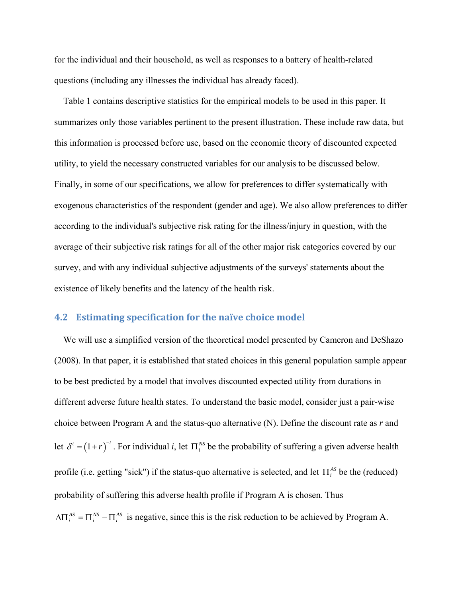for the individual and their household, as well as responses to a battery of health-related questions (including any illnesses the individual has already faced).

 Table 1 contains descriptive statistics for the empirical models to be used in this paper. It summarizes only those variables pertinent to the present illustration. These include raw data, but this information is processed before use, based on the economic theory of discounted expected utility, to yield the necessary constructed variables for our analysis to be discussed below. Finally, in some of our specifications, we allow for preferences to differ systematically with exogenous characteristics of the respondent (gender and age). We also allow preferences to differ according to the individual's subjective risk rating for the illness/injury in question, with the average of their subjective risk ratings for all of the other major risk categories covered by our survey, and with any individual subjective adjustments of the surveys' statements about the existence of likely benefits and the latency of the health risk.

### **4.2 Estimating specification for the naïve choice model**

 We will use a simplified version of the theoretical model presented by Cameron and DeShazo (2008). In that paper, it is established that stated choices in this general population sample appear to be best predicted by a model that involves discounted expected utility from durations in different adverse future health states. To understand the basic model, consider just a pair-wise choice between Program A and the status-quo alternative (N). Define the discount rate as *r* and let  $\delta' = (1+r)^{-t}$ . For individual *i*, let  $\Pi_i^{NS}$  be the probability of suffering a given adverse health profile (i.e. getting "sick") if the status-quo alternative is selected, and let  $\Pi_i^{AS}$  be the (reduced) probability of suffering this adverse health profile if Program A is chosen. Thus  $\Delta\Pi_i^{AS} = \Pi_i^{NS} - \Pi_i^{AS}$  is negative, since this is the risk reduction to be achieved by Program A.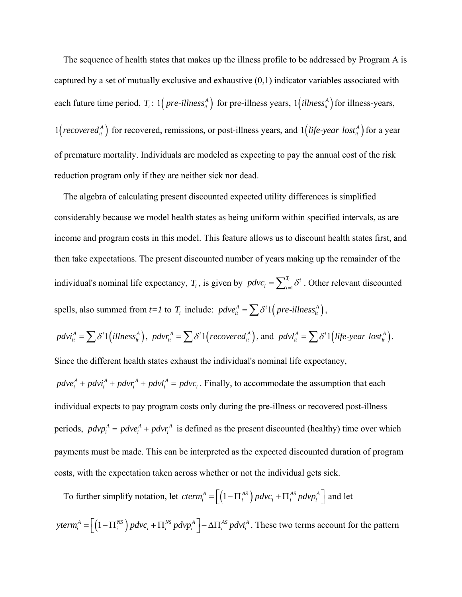The sequence of health states that makes up the illness profile to be addressed by Program A is captured by a set of mutually exclusive and exhaustive  $(0,1)$  indicator variables associated with each future time period,  $T_i$ : 1(*pre-illness*<sup>A</sup>) for pre-illness years, 1(*illness*<sup>A</sup>) for illness-years,  $1(recovered<sub>i</sub><sup>A</sup>)$  for recovered, remissions, or post-illness years, and  $1(life-year lost<sub>i</sub><sup>A</sup>)$  for a year of premature mortality. Individuals are modeled as expecting to pay the annual cost of the risk reduction program only if they are neither sick nor dead.

 The algebra of calculating present discounted expected utility differences is simplified considerably because we model health states as being uniform within specified intervals, as are income and program costs in this model. This feature allows us to discount health states first, and then take expectations. The present discounted number of years making up the remainder of the individual's nominal life expectancy,  $T_i$ , is given by  $pdvc_i = \sum_{i=1}^{T_i} \delta^i$ . Other relevant discounted spells, also summed from  $t=1$  to  $T_i$  include:  $pdve_i^A = \sum \delta' 1 (pre-illness_i^A)$ ,

$$
pdv_i^A = \sum \delta^t 1 \Big( \text{illness}_{it}^A \Big), \quad pdv_i^A = \sum \delta^t 1 \Big( \text{recovered}_{it}^A \Big), \text{ and } \quad pdv_i^A = \sum \delta^t 1 \Big( \text{life-year lost}_{it}^A \Big).
$$

Since the different health states exhaust the individual's nominal life expectancy,

 $p dve_i^A + p dv_i^A + p dv_i^A + p dv_i^A = p dve_i$ . Finally, to accommodate the assumption that each individual expects to pay program costs only during the pre-illness or recovered post-illness periods,  $pdvp_i^A = pdve_i^A + pdvr_i^A$  is defined as the present discounted (healthy) time over which payments must be made. This can be interpreted as the expected discounted duration of program costs, with the expectation taken across whether or not the individual gets sick.

To further simplify notation, let  $\text{cterm}_i^A = \left[ \left( 1 - \prod_i^{AS} \right) \text{p} \text{d}v \text{c}_i + \prod_i^{AS} \text{p} \text{d}v \text{p}_i^A \right]$  and let  $yterm_i^A = \left[ \left(1 - \prod_i^{NS} \right) pdvc_i + \prod_i^{NS} pdvp_i^A \right] - \Delta \prod_i^{AS} pdvi_i^A$ . These two terms account for the pattern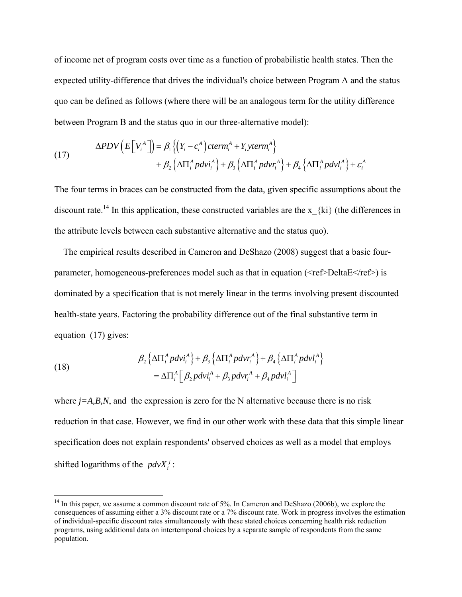of income net of program costs over time as a function of probabilistic health states. Then the expected utility-difference that drives the individual's choice between Program A and the status quo can be defined as follows (where there will be an analogous term for the utility difference between Program B and the status quo in our three-alternative model):

(17) 
$$
\Delta PDV\left(E\left[V_i^A\right]\right) = \beta_1 \left\{ \left(Y_i - c_i^A\right) \text{cterm}_i^A + Y_i \text{yterm}_i^A \right\} + \beta_2 \left\{ \Delta \Pi_i^A \text{poly}_i^A \right\} + \beta_3 \left\{ \Delta \Pi_i^A \text{poly}_i^A \right\} + \beta_4 \left\{ \Delta \Pi_i^A \text{poly}_i^A \right\} + \varepsilon_i^A
$$

The four terms in braces can be constructed from the data, given specific assumptions about the discount rate.<sup>14</sup> In this application, these constructed variables are the x  $\{ki\}$  (the differences in the attribute levels between each substantive alternative and the status quo).

 The empirical results described in Cameron and DeShazo (2008) suggest that a basic fourparameter, homogeneous-preferences model such as that in equation ( $\leq$ ref $\geq$ DeltaE $\leq$ /ref $\geq$ ) is dominated by a specification that is not merely linear in the terms involving present discounted health-state years. Factoring the probability difference out of the final substantive term in equation (17) gives:

(18) 
$$
\beta_2 \left\{ \Delta \Pi_i^A p dv i_i^A \right\} + \beta_3 \left\{ \Delta \Pi_i^A p dv r_i^A \right\} + \beta_4 \left\{ \Delta \Pi_i^A p dv l_i^A \right\} \n= \Delta \Pi_i^A \left[ \beta_2 p dv i_i^A + \beta_3 p dv r_i^A + \beta_4 p dv l_i^A \right]
$$

 $\overline{a}$ 

where  $j = A, B, N$ , and the expression is zero for the N alternative because there is no risk reduction in that case. However, we find in our other work with these data that this simple linear specification does not explain respondents' observed choices as well as a model that employs shifted logarithms of the  $pdvX_i^j$ :

 $14$  In this paper, we assume a common discount rate of 5%. In Cameron and DeShazo (2006b), we explore the consequences of assuming either a 3% discount rate or a 7% discount rate. Work in progress involves the estimation of individual-specific discount rates simultaneously with these stated choices concerning health risk reduction programs, using additional data on intertemporal choices by a separate sample of respondents from the same population.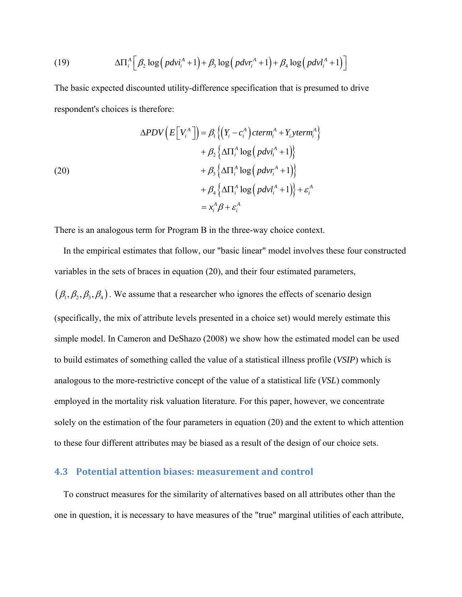(19) 
$$
\Delta \Pi_i^A \left[ \beta_2 \log \left( \rho dv_i^A + 1 \right) + \beta_3 \log \left( \rho dv_i^A + 1 \right) + \beta_4 \log \left( \rho dv_i^A + 1 \right) \right]
$$

The basic expected discounted utility-difference specification that is presumed to drive respondent's choices is therefore:

(20)  
\n
$$
\Delta PDV\left(E\left[V_i^A\right]\right) = \beta_1 \left\{ \left(Y_i - c_i^A\right) \text{cterm}_i^A + Y_i \text{yterm}_i^A \right\} + \beta_2 \left\{ \Delta \Pi_i^A \log \left( \text{pdv}_i^A + 1 \right) \right\} + \beta_3 \left\{ \Delta \Pi_i^A \log \left( \text{pdv}_i^A + 1 \right) \right\} + \beta_4 \left\{ \Delta \Pi_i^A \log \left( \text{pdv}_i^A + 1 \right) \right\} + \varepsilon_i^A
$$
\n
$$
= x_i^A \beta + \varepsilon_i^A
$$

There is an analogous term for Program B in the three-way choice context.

 In the empirical estimates that follow, our "basic linear" model involves these four constructed variables in the sets of braces in equation (20), and their four estimated parameters,  $(\beta_1, \beta_2, \beta_3, \beta_4)$ . We assume that a researcher who ignores the effects of scenario design (specifically, the mix of attribute levels presented in a choice set) would merely estimate this simple model. In Cameron and DeShazo (2008) we show how the estimated model can be used to build estimates of something called the value of a statistical illness profile (*VSIP*) which is analogous to the more-restrictive concept of the value of a statistical life (*VSL*) commonly employed in the mortality risk valuation literature. For this paper, however, we concentrate solely on the estimation of the four parameters in equation (20) and the extent to which attention to these four different attributes may be biased as a result of the design of our choice sets.

# **4.3 Potential attention biases: measurement and control**

 To construct measures for the similarity of alternatives based on all attributes other than the one in question, it is necessary to have measures of the "true" marginal utilities of each attribute,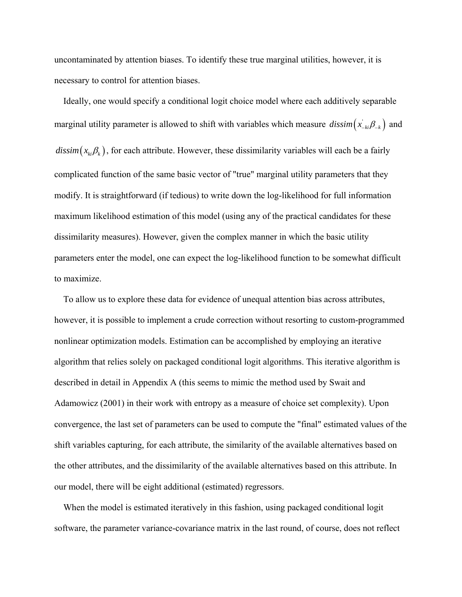uncontaminated by attention biases. To identify these true marginal utilities, however, it is necessary to control for attention biases.

 Ideally, one would specify a conditional logit choice model where each additively separable marginal utility parameter is allowed to shift with variables which measure  $dissim(x<sub>-ki</sub>, \beta<sub>-k</sub>)$  and  $dissim(x_{ki}\beta_k)$ , for each attribute. However, these dissimilarity variables will each be a fairly complicated function of the same basic vector of "true" marginal utility parameters that they modify. It is straightforward (if tedious) to write down the log-likelihood for full information maximum likelihood estimation of this model (using any of the practical candidates for these dissimilarity measures). However, given the complex manner in which the basic utility parameters enter the model, one can expect the log-likelihood function to be somewhat difficult to maximize.

 To allow us to explore these data for evidence of unequal attention bias across attributes, however, it is possible to implement a crude correction without resorting to custom-programmed nonlinear optimization models. Estimation can be accomplished by employing an iterative algorithm that relies solely on packaged conditional logit algorithms. This iterative algorithm is described in detail in Appendix A (this seems to mimic the method used by Swait and Adamowicz (2001) in their work with entropy as a measure of choice set complexity). Upon convergence, the last set of parameters can be used to compute the "final" estimated values of the shift variables capturing, for each attribute, the similarity of the available alternatives based on the other attributes, and the dissimilarity of the available alternatives based on this attribute. In our model, there will be eight additional (estimated) regressors.

 When the model is estimated iteratively in this fashion, using packaged conditional logit software, the parameter variance-covariance matrix in the last round, of course, does not reflect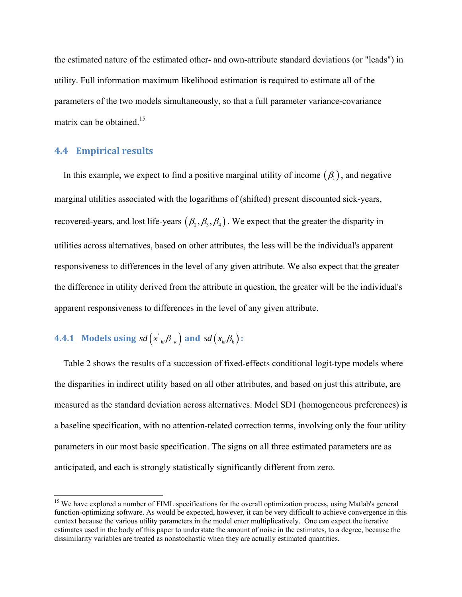the estimated nature of the estimated other- and own-attribute standard deviations (or "leads") in utility. Full information maximum likelihood estimation is required to estimate all of the parameters of the two models simultaneously, so that a full parameter variance-covariance matrix can be obtained.<sup>15</sup>

## **4.4 Empirical results**

1

In this example, we expect to find a positive marginal utility of income  $(\beta_1)$ , and negative marginal utilities associated with the logarithms of (shifted) present discounted sick-years, recovered-years, and lost life-years  $(\beta_2, \beta_3, \beta_4)$ . We expect that the greater the disparity in utilities across alternatives, based on other attributes, the less will be the individual's apparent responsiveness to differences in the level of any given attribute. We also expect that the greater the difference in utility derived from the attribute in question, the greater will be the individual's apparent responsiveness to differences in the level of any given attribute.

# **4.4.1** Models using  $sd\left(x_{-ki}\beta_{-k}\right)$  and  $sd\left(x_{ki}\beta_{k}\right)$ :

 Table 2 shows the results of a succession of fixed-effects conditional logit-type models where the disparities in indirect utility based on all other attributes, and based on just this attribute, are measured as the standard deviation across alternatives. Model SD1 (homogeneous preferences) is a baseline specification, with no attention-related correction terms, involving only the four utility parameters in our most basic specification. The signs on all three estimated parameters are as anticipated, and each is strongly statistically significantly different from zero.

<sup>&</sup>lt;sup>15</sup> We have explored a number of FIML specifications for the overall optimization process, using Matlab's general function-optimizing software. As would be expected, however, it can be very difficult to achieve convergence in this context because the various utility parameters in the model enter multiplicatively. One can expect the iterative estimates used in the body of this paper to understate the amount of noise in the estimates, to a degree, because the dissimilarity variables are treated as nonstochastic when they are actually estimated quantities.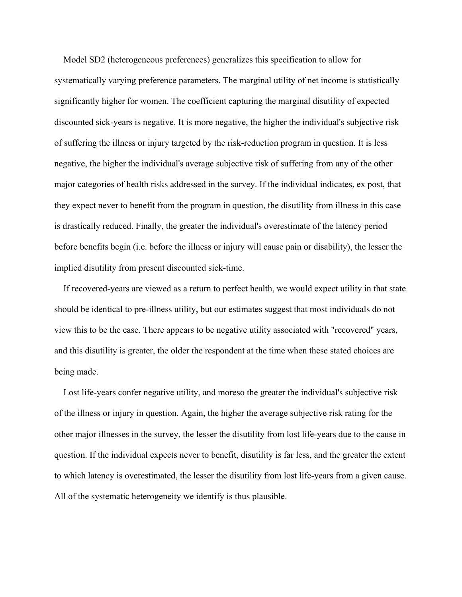Model SD2 (heterogeneous preferences) generalizes this specification to allow for systematically varying preference parameters. The marginal utility of net income is statistically significantly higher for women. The coefficient capturing the marginal disutility of expected discounted sick-years is negative. It is more negative, the higher the individual's subjective risk of suffering the illness or injury targeted by the risk-reduction program in question. It is less negative, the higher the individual's average subjective risk of suffering from any of the other major categories of health risks addressed in the survey. If the individual indicates, ex post, that they expect never to benefit from the program in question, the disutility from illness in this case is drastically reduced. Finally, the greater the individual's overestimate of the latency period before benefits begin (i.e. before the illness or injury will cause pain or disability), the lesser the implied disutility from present discounted sick-time.

 If recovered-years are viewed as a return to perfect health, we would expect utility in that state should be identical to pre-illness utility, but our estimates suggest that most individuals do not view this to be the case. There appears to be negative utility associated with "recovered" years, and this disutility is greater, the older the respondent at the time when these stated choices are being made.

 Lost life-years confer negative utility, and moreso the greater the individual's subjective risk of the illness or injury in question. Again, the higher the average subjective risk rating for the other major illnesses in the survey, the lesser the disutility from lost life-years due to the cause in question. If the individual expects never to benefit, disutility is far less, and the greater the extent to which latency is overestimated, the lesser the disutility from lost life-years from a given cause. All of the systematic heterogeneity we identify is thus plausible.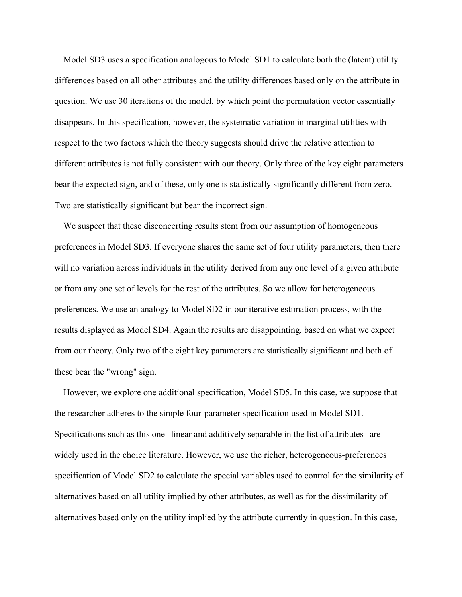Model SD3 uses a specification analogous to Model SD1 to calculate both the (latent) utility differences based on all other attributes and the utility differences based only on the attribute in question. We use 30 iterations of the model, by which point the permutation vector essentially disappears. In this specification, however, the systematic variation in marginal utilities with respect to the two factors which the theory suggests should drive the relative attention to different attributes is not fully consistent with our theory. Only three of the key eight parameters bear the expected sign, and of these, only one is statistically significantly different from zero. Two are statistically significant but bear the incorrect sign.

 We suspect that these disconcerting results stem from our assumption of homogeneous preferences in Model SD3. If everyone shares the same set of four utility parameters, then there will no variation across individuals in the utility derived from any one level of a given attribute or from any one set of levels for the rest of the attributes. So we allow for heterogeneous preferences. We use an analogy to Model SD2 in our iterative estimation process, with the results displayed as Model SD4. Again the results are disappointing, based on what we expect from our theory. Only two of the eight key parameters are statistically significant and both of these bear the "wrong" sign.

 However, we explore one additional specification, Model SD5. In this case, we suppose that the researcher adheres to the simple four-parameter specification used in Model SD1. Specifications such as this one--linear and additively separable in the list of attributes--are widely used in the choice literature. However, we use the richer, heterogeneous-preferences specification of Model SD2 to calculate the special variables used to control for the similarity of alternatives based on all utility implied by other attributes, as well as for the dissimilarity of alternatives based only on the utility implied by the attribute currently in question. In this case,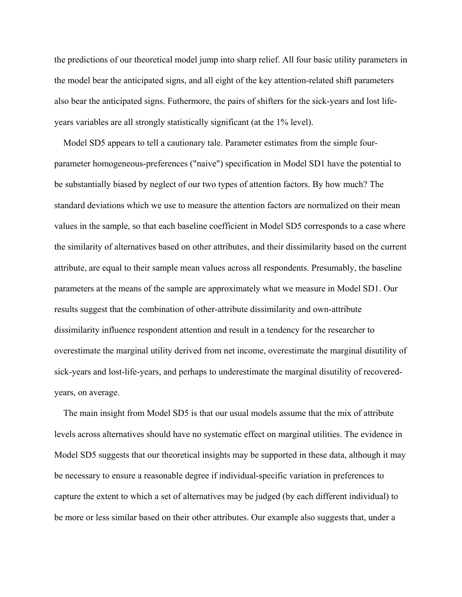the predictions of our theoretical model jump into sharp relief. All four basic utility parameters in the model bear the anticipated signs, and all eight of the key attention-related shift parameters also bear the anticipated signs. Futhermore, the pairs of shifters for the sick-years and lost lifeyears variables are all strongly statistically significant (at the 1% level).

 Model SD5 appears to tell a cautionary tale. Parameter estimates from the simple fourparameter homogeneous-preferences ("naive") specification in Model SD1 have the potential to be substantially biased by neglect of our two types of attention factors. By how much? The standard deviations which we use to measure the attention factors are normalized on their mean values in the sample, so that each baseline coefficient in Model SD5 corresponds to a case where the similarity of alternatives based on other attributes, and their dissimilarity based on the current attribute, are equal to their sample mean values across all respondents. Presumably, the baseline parameters at the means of the sample are approximately what we measure in Model SD1. Our results suggest that the combination of other-attribute dissimilarity and own-attribute dissimilarity influence respondent attention and result in a tendency for the researcher to overestimate the marginal utility derived from net income, overestimate the marginal disutility of sick-years and lost-life-years, and perhaps to underestimate the marginal disutility of recoveredyears, on average.

 The main insight from Model SD5 is that our usual models assume that the mix of attribute levels across alternatives should have no systematic effect on marginal utilities. The evidence in Model SD5 suggests that our theoretical insights may be supported in these data, although it may be necessary to ensure a reasonable degree if individual-specific variation in preferences to capture the extent to which a set of alternatives may be judged (by each different individual) to be more or less similar based on their other attributes. Our example also suggests that, under a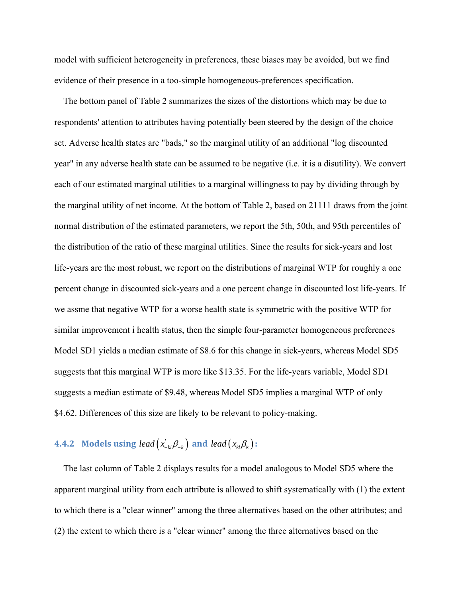model with sufficient heterogeneity in preferences, these biases may be avoided, but we find evidence of their presence in a too-simple homogeneous-preferences specification.

 The bottom panel of Table 2 summarizes the sizes of the distortions which may be due to respondents' attention to attributes having potentially been steered by the design of the choice set. Adverse health states are "bads," so the marginal utility of an additional "log discounted year" in any adverse health state can be assumed to be negative (i.e. it is a disutility). We convert each of our estimated marginal utilities to a marginal willingness to pay by dividing through by the marginal utility of net income. At the bottom of Table 2, based on 21111 draws from the joint normal distribution of the estimated parameters, we report the 5th, 50th, and 95th percentiles of the distribution of the ratio of these marginal utilities. Since the results for sick-years and lost life-years are the most robust, we report on the distributions of marginal WTP for roughly a one percent change in discounted sick-years and a one percent change in discounted lost life-years. If we assme that negative WTP for a worse health state is symmetric with the positive WTP for similar improvement i health status, then the simple four-parameter homogeneous preferences Model SD1 yields a median estimate of \$8.6 for this change in sick-years, whereas Model SD5 suggests that this marginal WTP is more like \$13.35. For the life-years variable, Model SD1 suggests a median estimate of \$9.48, whereas Model SD5 implies a marginal WTP of only \$4.62. Differences of this size are likely to be relevant to policy-making.

# **4.4.2** Models using lead  $(x_{-ki}^{\perp}\beta_{-k})$  and lead  $(x_{ki}\beta_k)$ :

 The last column of Table 2 displays results for a model analogous to Model SD5 where the apparent marginal utility from each attribute is allowed to shift systematically with (1) the extent to which there is a "clear winner" among the three alternatives based on the other attributes; and (2) the extent to which there is a "clear winner" among the three alternatives based on the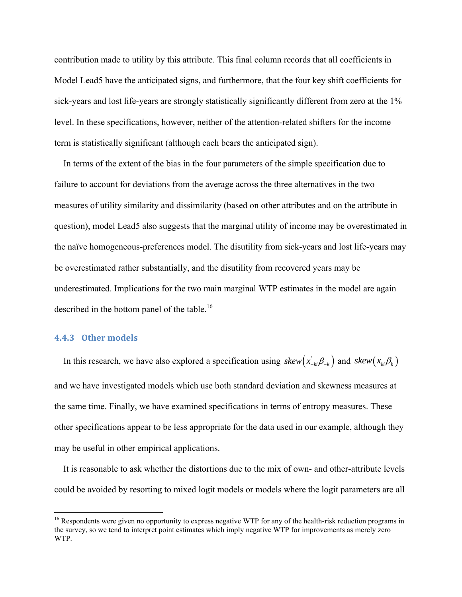contribution made to utility by this attribute. This final column records that all coefficients in Model Lead5 have the anticipated signs, and furthermore, that the four key shift coefficients for sick-years and lost life-years are strongly statistically significantly different from zero at the 1% level. In these specifications, however, neither of the attention-related shifters for the income term is statistically significant (although each bears the anticipated sign).

 In terms of the extent of the bias in the four parameters of the simple specification due to failure to account for deviations from the average across the three alternatives in the two measures of utility similarity and dissimilarity (based on other attributes and on the attribute in question), model Lead5 also suggests that the marginal utility of income may be overestimated in the naïve homogeneous-preferences model. The disutility from sick-years and lost life-years may be overestimated rather substantially, and the disutility from recovered years may be underestimated. Implications for the two main marginal WTP estimates in the model are again described in the bottom panel of the table.<sup>16</sup>

### **4.4.3 Other models**

 $\overline{a}$ 

In this research, we have also explored a specification using  $skew(x_{-ki}\beta_{-k})$  and  $skew(x_{ki}\beta_k)$ and we have investigated models which use both standard deviation and skewness measures at the same time. Finally, we have examined specifications in terms of entropy measures. These other specifications appear to be less appropriate for the data used in our example, although they may be useful in other empirical applications.

 It is reasonable to ask whether the distortions due to the mix of own- and other-attribute levels could be avoided by resorting to mixed logit models or models where the logit parameters are all

<sup>&</sup>lt;sup>16</sup> Respondents were given no opportunity to express negative WTP for any of the health-risk reduction programs in the survey, so we tend to interpret point estimates which imply negative WTP for improvements as merely zero WTP.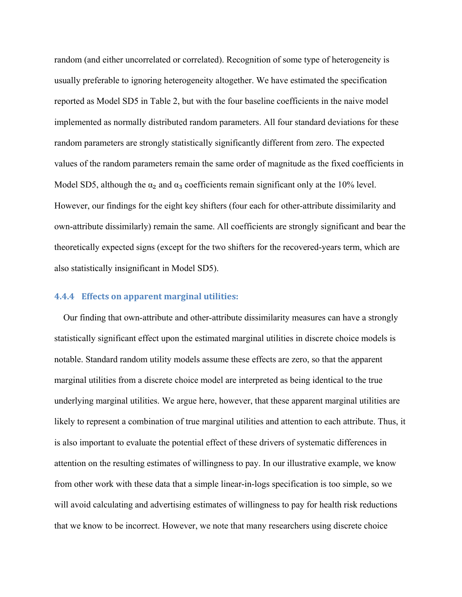random (and either uncorrelated or correlated). Recognition of some type of heterogeneity is usually preferable to ignoring heterogeneity altogether. We have estimated the specification reported as Model SD5 in Table 2, but with the four baseline coefficients in the naive model implemented as normally distributed random parameters. All four standard deviations for these random parameters are strongly statistically significantly different from zero. The expected values of the random parameters remain the same order of magnitude as the fixed coefficients in Model SD5, although the  $\alpha_2$  and  $\alpha_3$  coefficients remain significant only at the 10% level. However, our findings for the eight key shifters (four each for other-attribute dissimilarity and own-attribute dissimilarly) remain the same. All coefficients are strongly significant and bear the theoretically expected signs (except for the two shifters for the recovered-years term, which are also statistically insignificant in Model SD5).

### **4.4.4 Effects on apparent marginal utilities:**

 Our finding that own-attribute and other-attribute dissimilarity measures can have a strongly statistically significant effect upon the estimated marginal utilities in discrete choice models is notable. Standard random utility models assume these effects are zero, so that the apparent marginal utilities from a discrete choice model are interpreted as being identical to the true underlying marginal utilities. We argue here, however, that these apparent marginal utilities are likely to represent a combination of true marginal utilities and attention to each attribute. Thus, it is also important to evaluate the potential effect of these drivers of systematic differences in attention on the resulting estimates of willingness to pay. In our illustrative example, we know from other work with these data that a simple linear-in-logs specification is too simple, so we will avoid calculating and advertising estimates of willingness to pay for health risk reductions that we know to be incorrect. However, we note that many researchers using discrete choice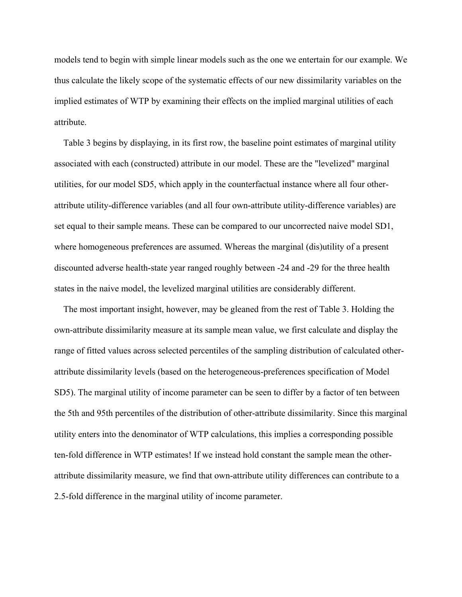models tend to begin with simple linear models such as the one we entertain for our example. We thus calculate the likely scope of the systematic effects of our new dissimilarity variables on the implied estimates of WTP by examining their effects on the implied marginal utilities of each attribute.

 Table 3 begins by displaying, in its first row, the baseline point estimates of marginal utility associated with each (constructed) attribute in our model. These are the "levelized" marginal utilities, for our model SD5, which apply in the counterfactual instance where all four otherattribute utility-difference variables (and all four own-attribute utility-difference variables) are set equal to their sample means. These can be compared to our uncorrected naive model SD1, where homogeneous preferences are assumed. Whereas the marginal (dis)utility of a present discounted adverse health-state year ranged roughly between -24 and -29 for the three health states in the naive model, the levelized marginal utilities are considerably different.

 The most important insight, however, may be gleaned from the rest of Table 3. Holding the own-attribute dissimilarity measure at its sample mean value, we first calculate and display the range of fitted values across selected percentiles of the sampling distribution of calculated otherattribute dissimilarity levels (based on the heterogeneous-preferences specification of Model SD5). The marginal utility of income parameter can be seen to differ by a factor of ten between the 5th and 95th percentiles of the distribution of other-attribute dissimilarity. Since this marginal utility enters into the denominator of WTP calculations, this implies a corresponding possible ten-fold difference in WTP estimates! If we instead hold constant the sample mean the otherattribute dissimilarity measure, we find that own-attribute utility differences can contribute to a 2.5-fold difference in the marginal utility of income parameter.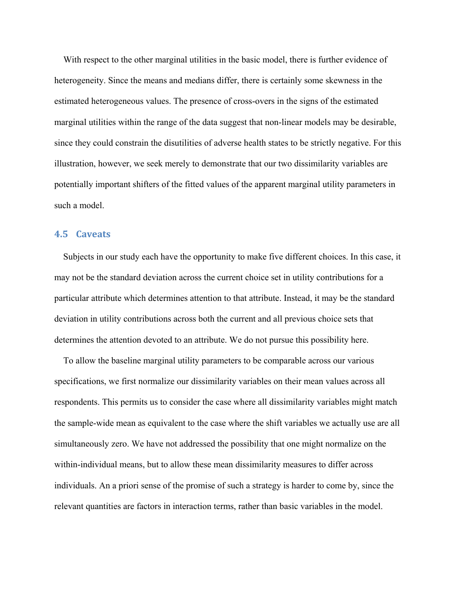With respect to the other marginal utilities in the basic model, there is further evidence of heterogeneity. Since the means and medians differ, there is certainly some skewness in the estimated heterogeneous values. The presence of cross-overs in the signs of the estimated marginal utilities within the range of the data suggest that non-linear models may be desirable, since they could constrain the disutilities of adverse health states to be strictly negative. For this illustration, however, we seek merely to demonstrate that our two dissimilarity variables are potentially important shifters of the fitted values of the apparent marginal utility parameters in such a model.

### **4.5 Caveats**

 Subjects in our study each have the opportunity to make five different choices. In this case, it may not be the standard deviation across the current choice set in utility contributions for a particular attribute which determines attention to that attribute. Instead, it may be the standard deviation in utility contributions across both the current and all previous choice sets that determines the attention devoted to an attribute. We do not pursue this possibility here.

 To allow the baseline marginal utility parameters to be comparable across our various specifications, we first normalize our dissimilarity variables on their mean values across all respondents. This permits us to consider the case where all dissimilarity variables might match the sample-wide mean as equivalent to the case where the shift variables we actually use are all simultaneously zero. We have not addressed the possibility that one might normalize on the within-individual means, but to allow these mean dissimilarity measures to differ across individuals. An a priori sense of the promise of such a strategy is harder to come by, since the relevant quantities are factors in interaction terms, rather than basic variables in the model.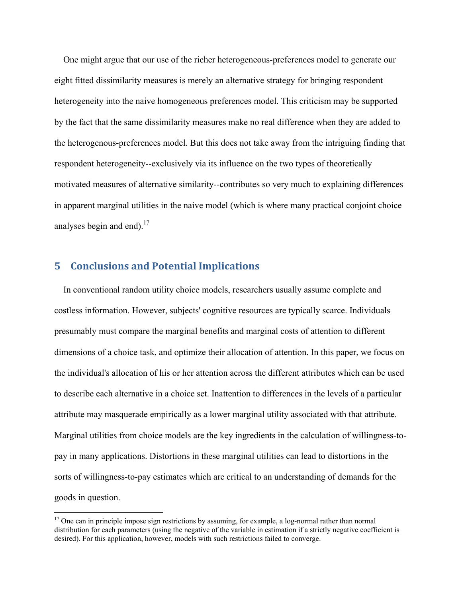One might argue that our use of the richer heterogeneous-preferences model to generate our eight fitted dissimilarity measures is merely an alternative strategy for bringing respondent heterogeneity into the naive homogeneous preferences model. This criticism may be supported by the fact that the same dissimilarity measures make no real difference when they are added to the heterogenous-preferences model. But this does not take away from the intriguing finding that respondent heterogeneity--exclusively via its influence on the two types of theoretically motivated measures of alternative similarity--contributes so very much to explaining differences in apparent marginal utilities in the naive model (which is where many practical conjoint choice analyses begin and end). $17$ 

# **5 Conclusions and Potential Implications**

 $\overline{a}$ 

 In conventional random utility choice models, researchers usually assume complete and costless information. However, subjects' cognitive resources are typically scarce. Individuals presumably must compare the marginal benefits and marginal costs of attention to different dimensions of a choice task, and optimize their allocation of attention. In this paper, we focus on the individual's allocation of his or her attention across the different attributes which can be used to describe each alternative in a choice set. Inattention to differences in the levels of a particular attribute may masquerade empirically as a lower marginal utility associated with that attribute. Marginal utilities from choice models are the key ingredients in the calculation of willingness-topay in many applications. Distortions in these marginal utilities can lead to distortions in the sorts of willingness-to-pay estimates which are critical to an understanding of demands for the goods in question.

<sup>&</sup>lt;sup>17</sup> One can in principle impose sign restrictions by assuming, for example, a log-normal rather than normal distribution for each parameters (using the negative of the variable in estimation if a strictly negative coefficient is desired). For this application, however, models with such restrictions failed to converge.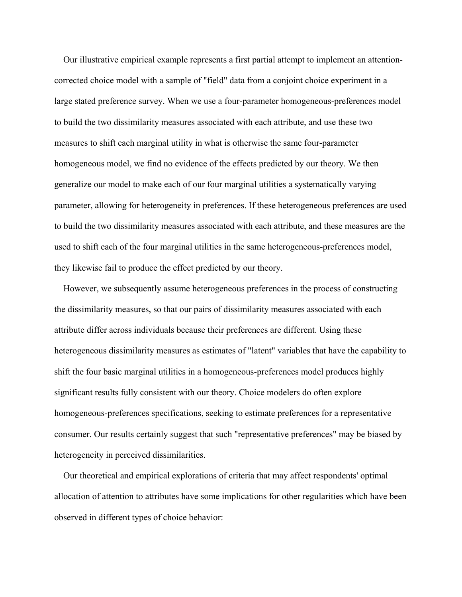Our illustrative empirical example represents a first partial attempt to implement an attentioncorrected choice model with a sample of "field" data from a conjoint choice experiment in a large stated preference survey. When we use a four-parameter homogeneous-preferences model to build the two dissimilarity measures associated with each attribute, and use these two measures to shift each marginal utility in what is otherwise the same four-parameter homogeneous model, we find no evidence of the effects predicted by our theory. We then generalize our model to make each of our four marginal utilities a systematically varying parameter, allowing for heterogeneity in preferences. If these heterogeneous preferences are used to build the two dissimilarity measures associated with each attribute, and these measures are the used to shift each of the four marginal utilities in the same heterogeneous-preferences model, they likewise fail to produce the effect predicted by our theory.

 However, we subsequently assume heterogeneous preferences in the process of constructing the dissimilarity measures, so that our pairs of dissimilarity measures associated with each attribute differ across individuals because their preferences are different. Using these heterogeneous dissimilarity measures as estimates of "latent" variables that have the capability to shift the four basic marginal utilities in a homogeneous-preferences model produces highly significant results fully consistent with our theory. Choice modelers do often explore homogeneous-preferences specifications, seeking to estimate preferences for a representative consumer. Our results certainly suggest that such "representative preferences" may be biased by heterogeneity in perceived dissimilarities.

 Our theoretical and empirical explorations of criteria that may affect respondents' optimal allocation of attention to attributes have some implications for other regularities which have been observed in different types of choice behavior: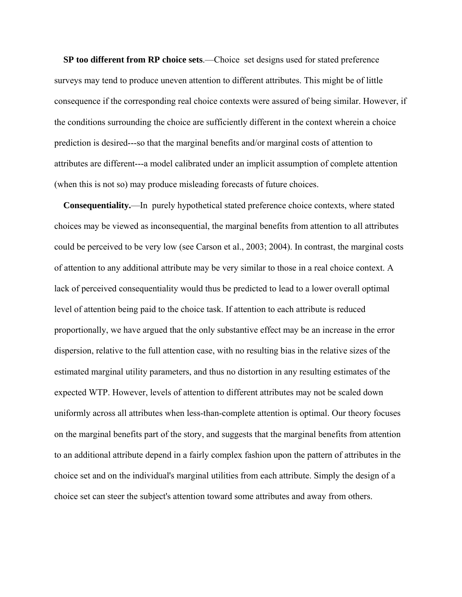**SP too different from RP choice sets**.—Choice set designs used for stated preference surveys may tend to produce uneven attention to different attributes. This might be of little consequence if the corresponding real choice contexts were assured of being similar. However, if the conditions surrounding the choice are sufficiently different in the context wherein a choice prediction is desired---so that the marginal benefits and/or marginal costs of attention to attributes are different---a model calibrated under an implicit assumption of complete attention (when this is not so) may produce misleading forecasts of future choices.

 **Consequentiality.**—In purely hypothetical stated preference choice contexts, where stated choices may be viewed as inconsequential, the marginal benefits from attention to all attributes could be perceived to be very low (see Carson et al., 2003; 2004). In contrast, the marginal costs of attention to any additional attribute may be very similar to those in a real choice context. A lack of perceived consequentiality would thus be predicted to lead to a lower overall optimal level of attention being paid to the choice task. If attention to each attribute is reduced proportionally, we have argued that the only substantive effect may be an increase in the error dispersion, relative to the full attention case, with no resulting bias in the relative sizes of the estimated marginal utility parameters, and thus no distortion in any resulting estimates of the expected WTP. However, levels of attention to different attributes may not be scaled down uniformly across all attributes when less-than-complete attention is optimal. Our theory focuses on the marginal benefits part of the story, and suggests that the marginal benefits from attention to an additional attribute depend in a fairly complex fashion upon the pattern of attributes in the choice set and on the individual's marginal utilities from each attribute. Simply the design of a choice set can steer the subject's attention toward some attributes and away from others.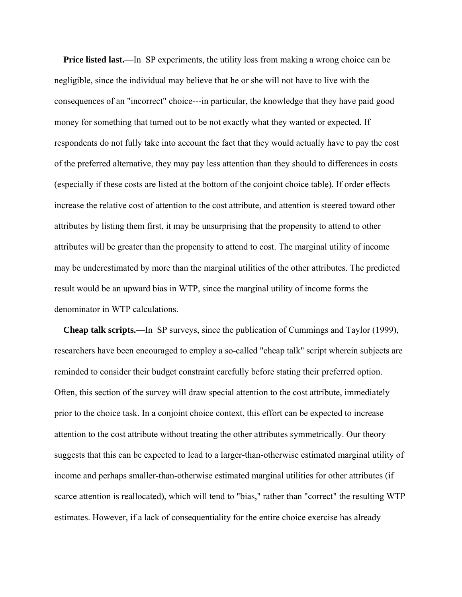**Price listed last.**—In SP experiments, the utility loss from making a wrong choice can be negligible, since the individual may believe that he or she will not have to live with the consequences of an "incorrect" choice---in particular, the knowledge that they have paid good money for something that turned out to be not exactly what they wanted or expected. If respondents do not fully take into account the fact that they would actually have to pay the cost of the preferred alternative, they may pay less attention than they should to differences in costs (especially if these costs are listed at the bottom of the conjoint choice table). If order effects increase the relative cost of attention to the cost attribute, and attention is steered toward other attributes by listing them first, it may be unsurprising that the propensity to attend to other attributes will be greater than the propensity to attend to cost. The marginal utility of income may be underestimated by more than the marginal utilities of the other attributes. The predicted result would be an upward bias in WTP, since the marginal utility of income forms the denominator in WTP calculations.

 **Cheap talk scripts.**—In SP surveys, since the publication of Cummings and Taylor (1999), researchers have been encouraged to employ a so-called "cheap talk" script wherein subjects are reminded to consider their budget constraint carefully before stating their preferred option. Often, this section of the survey will draw special attention to the cost attribute, immediately prior to the choice task. In a conjoint choice context, this effort can be expected to increase attention to the cost attribute without treating the other attributes symmetrically. Our theory suggests that this can be expected to lead to a larger-than-otherwise estimated marginal utility of income and perhaps smaller-than-otherwise estimated marginal utilities for other attributes (if scarce attention is reallocated), which will tend to "bias," rather than "correct" the resulting WTP estimates. However, if a lack of consequentiality for the entire choice exercise has already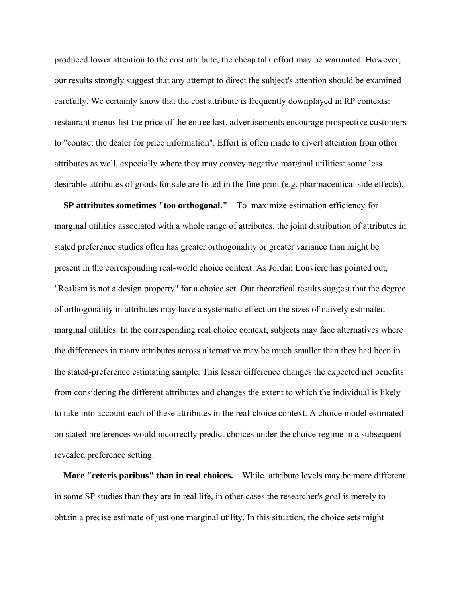produced lower attention to the cost attribute, the cheap talk effort may be warranted. However, our results strongly suggest that any attempt to direct the subject's attention should be examined carefully. We certainly know that the cost attribute is frequently downplayed in RP contexts: restaurant menus list the price of the entree last, advertisements encourage prospective customers to "contact the dealer for price information". Effort is often made to divert attention from other attributes as well, expecially where they may convey negative marginal utilities: some less desirable attributes of goods for sale are listed in the fine print (e.g. pharmaceutical side effects),

 **SP attributes sometimes "too orthogonal."**—To maximize estimation efficiency for marginal utilities associated with a whole range of attributes, the joint distribution of attributes in stated preference studies often has greater orthogonality or greater variance than might be present in the corresponding real-world choice context. As Jordan Louviere has pointed out, "Realism is not a design property" for a choice set. Our theoretical results suggest that the degree of orthogonality in attributes may have a systematic effect on the sizes of naively estimated marginal utilities. In the corresponding real choice context, subjects may face alternatives where the differences in many attributes across alternative may be much smaller than they had been in the stated-preference estimating sample. This lesser difference changes the expected net benefits from considering the different attributes and changes the extent to which the individual is likely to take into account each of these attributes in the real-choice context. A choice model estimated on stated preferences would incorrectly predict choices under the choice regime in a subsequent revealed preference setting.

 **More "ceteris paribus" than in real choices.**—While attribute levels may be more different in some SP studies than they are in real life, in other cases the researcher's goal is merely to obtain a precise estimate of just one marginal utility. In this situation, the choice sets might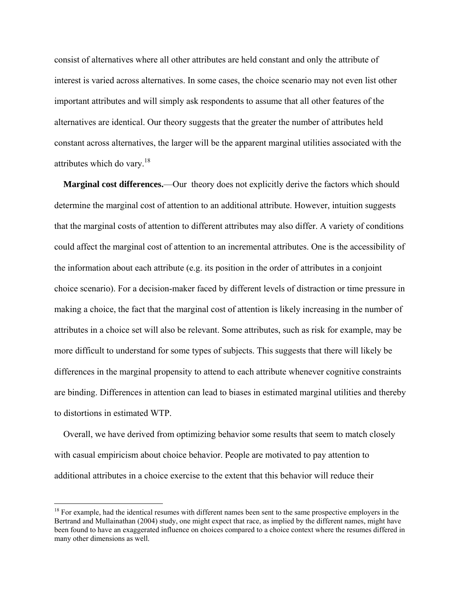consist of alternatives where all other attributes are held constant and only the attribute of interest is varied across alternatives. In some cases, the choice scenario may not even list other important attributes and will simply ask respondents to assume that all other features of the alternatives are identical. Our theory suggests that the greater the number of attributes held constant across alternatives, the larger will be the apparent marginal utilities associated with the attributes which do vary.<sup>18</sup>

 **Marginal cost differences.**—Our theory does not explicitly derive the factors which should determine the marginal cost of attention to an additional attribute. However, intuition suggests that the marginal costs of attention to different attributes may also differ. A variety of conditions could affect the marginal cost of attention to an incremental attributes. One is the accessibility of the information about each attribute (e.g. its position in the order of attributes in a conjoint choice scenario). For a decision-maker faced by different levels of distraction or time pressure in making a choice, the fact that the marginal cost of attention is likely increasing in the number of attributes in a choice set will also be relevant. Some attributes, such as risk for example, may be more difficult to understand for some types of subjects. This suggests that there will likely be differences in the marginal propensity to attend to each attribute whenever cognitive constraints are binding. Differences in attention can lead to biases in estimated marginal utilities and thereby to distortions in estimated WTP.

 Overall, we have derived from optimizing behavior some results that seem to match closely with casual empiricism about choice behavior. People are motivated to pay attention to additional attributes in a choice exercise to the extent that this behavior will reduce their

<u>.</u>

<sup>&</sup>lt;sup>18</sup> For example, had the identical resumes with different names been sent to the same prospective employers in the Bertrand and Mullainathan (2004) study, one might expect that race, as implied by the different names, might have been found to have an exaggerated influence on choices compared to a choice context where the resumes differed in many other dimensions as well.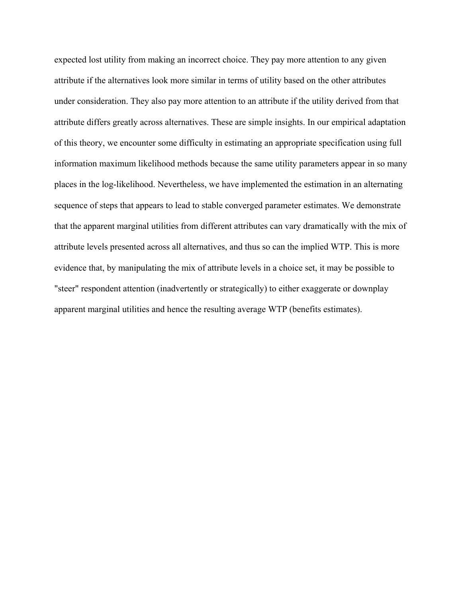expected lost utility from making an incorrect choice. They pay more attention to any given attribute if the alternatives look more similar in terms of utility based on the other attributes under consideration. They also pay more attention to an attribute if the utility derived from that attribute differs greatly across alternatives. These are simple insights. In our empirical adaptation of this theory, we encounter some difficulty in estimating an appropriate specification using full information maximum likelihood methods because the same utility parameters appear in so many places in the log-likelihood. Nevertheless, we have implemented the estimation in an alternating sequence of steps that appears to lead to stable converged parameter estimates. We demonstrate that the apparent marginal utilities from different attributes can vary dramatically with the mix of attribute levels presented across all alternatives, and thus so can the implied WTP. This is more evidence that, by manipulating the mix of attribute levels in a choice set, it may be possible to "steer" respondent attention (inadvertently or strategically) to either exaggerate or downplay apparent marginal utilities and hence the resulting average WTP (benefits estimates).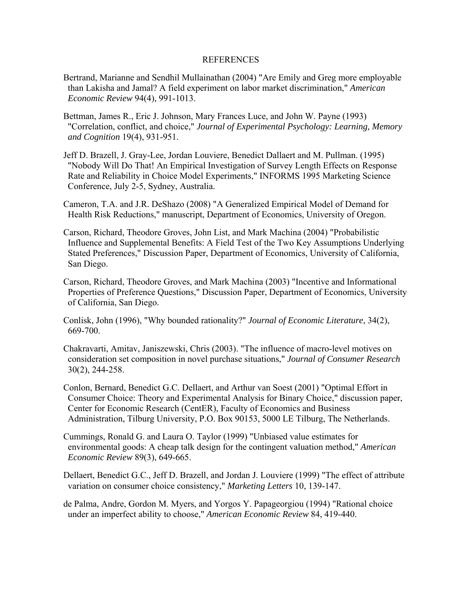### REFERENCES

- Bertrand, Marianne and Sendhil Mullainathan (2004) "Are Emily and Greg more employable than Lakisha and Jamal? A field experiment on labor market discrimination," *American Economic Review* 94(4), 991-1013.
- Bettman, James R., Eric J. Johnson, Mary Frances Luce, and John W. Payne (1993) "Correlation, conflict, and choice," *Journal of Experimental Psychology: Learning, Memory and Cognition* 19(4), 931-951.
- Jeff D. Brazell, J. Gray-Lee, Jordan Louviere, Benedict Dallaert and M. Pullman. (1995) "Nobody Will Do That! An Empirical Investigation of Survey Length Effects on Response Rate and Reliability in Choice Model Experiments," INFORMS 1995 Marketing Science Conference, July 2-5, Sydney, Australia.
- Cameron, T.A. and J.R. DeShazo (2008) "A Generalized Empirical Model of Demand for Health Risk Reductions," manuscript, Department of Economics, University of Oregon.
- Carson, Richard, Theodore Groves, John List, and Mark Machina (2004) "Probabilistic Influence and Supplemental Benefits: A Field Test of the Two Key Assumptions Underlying Stated Preferences," Discussion Paper, Department of Economics, University of California, San Diego.
- Carson, Richard, Theodore Groves, and Mark Machina (2003) "Incentive and Informational Properties of Preference Questions," Discussion Paper, Department of Economics, University of California, San Diego.
- Conlisk, John (1996), "Why bounded rationality?" *Journal of Economic Literature*, 34(2), 669-700.
- Chakravarti, Amitav, Janiszewski, Chris (2003). "The influence of macro-level motives on consideration set composition in novel purchase situations," *Journal of Consumer Research* 30(2), 244-258.
- Conlon, Bernard, Benedict G.C. Dellaert, and Arthur van Soest (2001) "Optimal Effort in Consumer Choice: Theory and Experimental Analysis for Binary Choice," discussion paper, Center for Economic Research (CentER), Faculty of Economics and Business Administration, Tilburg University, P.O. Box 90153, 5000 LE Tilburg, The Netherlands.
- Cummings, Ronald G. and Laura O. Taylor (1999) "Unbiased value estimates for environmental goods: A cheap talk design for the contingent valuation method," *American Economic Review* 89(3), 649-665.
- Dellaert, Benedict G.C., Jeff D. Brazell, and Jordan J. Louviere (1999) "The effect of attribute variation on consumer choice consistency," *Marketing Letters* 10, 139-147.
- de Palma, Andre, Gordon M. Myers, and Yorgos Y. Papageorgiou (1994) "Rational choice under an imperfect ability to choose," *American Economic Review* 84, 419-440.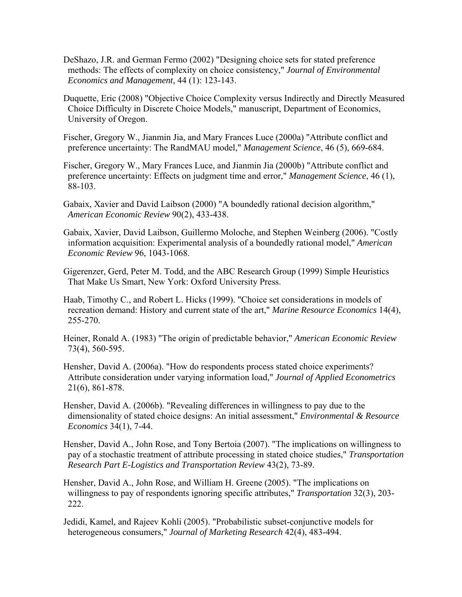- DeShazo, J.R. and German Fermo (2002) "Designing choice sets for stated preference methods: The effects of complexity on choice consistency," *Journal of Environmental Economics and Management*, 44 (1): 123-143.
- Duquette, Eric (2008) "Objective Choice Complexity versus Indirectly and Directly Measured Choice Difficulty in Discrete Choice Models," manuscript, Department of Economics, University of Oregon.
- Fischer, Gregory W., Jianmin Jia, and Mary Frances Luce (2000a) "Attribute conflict and preference uncertainty: The RandMAU model," *Management Science*, 46 (5), 669-684.
- Fischer, Gregory W., Mary Frances Luce, and Jianmin Jia (2000b) "Attribute conflict and preference uncertainty: Effects on judgment time and error," *Management Science*, 46 (1), 88-103.
- Gabaix, Xavier and David Laibson (2000) "A boundedly rational decision algorithm," *American Economic Review* 90(2), 433-438.
- Gabaix, Xavier, David Laibson, Guillermo Moloche, and Stephen Weinberg (2006). "Costly information acquisition: Experimental analysis of a boundedly rational model," *American Economic Review* 96, 1043-1068.
- Gigerenzer, Gerd, Peter M. Todd, and the ABC Research Group (1999) Simple Heuristics That Make Us Smart, New York: Oxford University Press.
- Haab, Timothy C., and Robert L. Hicks (1999). "Choice set considerations in models of recreation demand: History and current state of the art," *Marine Resource Economics* 14(4), 255-270.
- Heiner, Ronald A. (1983) "The origin of predictable behavior," *American Economic Review* 73(4), 560-595.
- Hensher, David A. (2006a). "How do respondents process stated choice experiments? Attribute consideration under varying information load," *Journal of Applied Econometrics* 21(6), 861-878.
- Hensher, David A. (2006b). "Revealing differences in willingness to pay due to the dimensionality of stated choice designs: An initial assessment," *Environmental & Resource Economics* 34(1), 7-44.
- Hensher, David A., John Rose, and Tony Bertoia (2007). "The implications on willingness to pay of a stochastic treatment of attribute processing in stated choice studies," *Transportation Research Part E-Logistics and Transportation Review* 43(2), 73-89.
- Hensher, David A., John Rose, and William H. Greene (2005). "The implications on willingness to pay of respondents ignoring specific attributes," *Transportation* 32(3), 203- 222.
- Jedidi, Kamel, and Rajeev Kohli (2005). "Probabilistic subset-conjunctive models for heterogeneous consumers," *Journal of Marketing Research* 42(4), 483-494.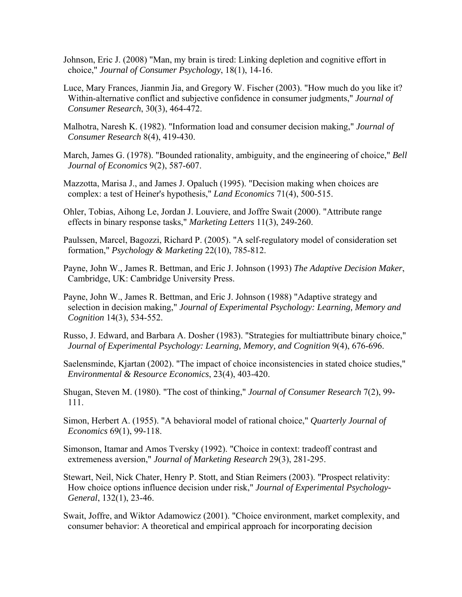- Johnson, Eric J. (2008) "Man, my brain is tired: Linking depletion and cognitive effort in choice," *Journal of Consumer Psychology*, 18(1), 14-16.
- Luce, Mary Frances, Jianmin Jia, and Gregory W. Fischer (2003). "How much do you like it? Within-alternative conflict and subjective confidence in consumer judgments," *Journal of Consumer Research*, 30(3), 464-472.
- Malhotra, Naresh K. (1982). "Information load and consumer decision making," *Journal of Consumer Research* 8(4), 419-430.
- March, James G. (1978). "Bounded rationality, ambiguity, and the engineering of choice," *Bell Journal of Economics* 9(2), 587-607.
- Mazzotta, Marisa J., and James J. Opaluch (1995). "Decision making when choices are complex: a test of Heiner's hypothesis," *Land Economics* 71(4), 500-515.
- Ohler, Tobias, Aihong Le, Jordan J. Louviere, and Joffre Swait (2000). "Attribute range effects in binary response tasks," *Marketing Letters* 11(3), 249-260.
- Paulssen, Marcel, Bagozzi, Richard P. (2005). "A self-regulatory model of consideration set formation," *Psychology & Marketing* 22(10), 785-812.
- Payne, John W., James R. Bettman, and Eric J. Johnson (1993) *The Adaptive Decision Maker*, Cambridge, UK: Cambridge University Press.
- Payne, John W., James R. Bettman, and Eric J. Johnson (1988) "Adaptive strategy and selection in decision making," *Journal of Experimental Psychology: Learning, Memory and Cognition* 14(3), 534-552.
- Russo, J. Edward, and Barbara A. Dosher (1983). "Strategies for multiattribute binary choice," *Journal of Experimental Psychology: Learning, Memory, and Cognition* 9(4), 676-696.
- Saelensminde, Kjartan (2002). "The impact of choice inconsistencies in stated choice studies," *Environmental & Resource Economics*, 23(4), 403-420.
- Shugan, Steven M. (1980). "The cost of thinking," *Journal of Consumer Research* 7(2), 99- 111.
- Simon, Herbert A. (1955). "A behavioral model of rational choice," *Quarterly Journal of Economics* 69(1), 99-118.
- Simonson, Itamar and Amos Tversky (1992). "Choice in context: tradeoff contrast and extremeness aversion," *Journal of Marketing Research* 29(3), 281-295.
- Stewart, Neil, Nick Chater, Henry P. Stott, and Stian Reimers (2003). "Prospect relativity: How choice options influence decision under risk," *Journal of Experimental Psychology-General*, 132(1), 23-46.
- Swait, Joffre, and Wiktor Adamowicz (2001). "Choice environment, market complexity, and consumer behavior: A theoretical and empirical approach for incorporating decision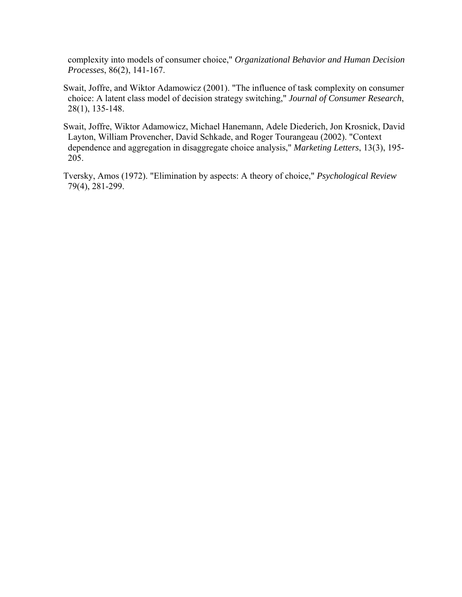complexity into models of consumer choice," *Organizational Behavior and Human Decision Processes*, 86(2), 141-167.

- Swait, Joffre, and Wiktor Adamowicz (2001). "The influence of task complexity on consumer choice: A latent class model of decision strategy switching," *Journal of Consumer Research*, 28(1), 135-148.
- Swait, Joffre, Wiktor Adamowicz, Michael Hanemann, Adele Diederich, Jon Krosnick, David Layton, William Provencher, David Schkade, and Roger Tourangeau (2002). "Context dependence and aggregation in disaggregate choice analysis," *Marketing Letters*, 13(3), 195- 205.

 Tversky, Amos (1972). "Elimination by aspects: A theory of choice," *Psychological Review* 79(4), 281-299.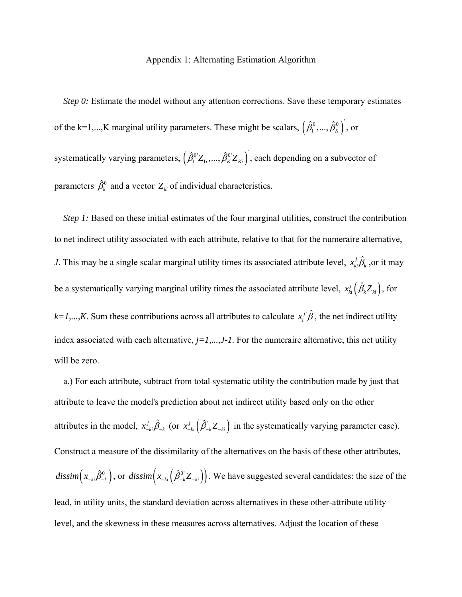### Appendix 1: Alternating Estimation Algorithm

*Step 0:* Estimate the model without any attention corrections. Save these temporary estimates of the k=1,...,K marginal utility parameters. These might be scalars,  $(\hat{\beta}_1^0, ..., \hat{\beta}_K^0)$  $\left(\hat{\beta}_1^0, ..., \hat{\beta}_K^0\right)$  , or systematically varying parameters,  $(\hat{\beta}_1^{o'}Z_{1i},...,\hat{\beta}_K^{o'}Z_{Ki})$ , each depending on a subvector of parameters  $\hat{\beta}_k^0$  and a vector  $Z_{ki}$  of individual characteristics.

*Step 1:* Based on these initial estimates of the four marginal utilities, construct the contribution to net indirect utility associated with each attribute, relative to that for the numeraire alternative, *J*. This may be a single scalar marginal utility times its associated attribute level,  $x_{ki}^j \hat{\beta}_k$ , or it may be a systematically varying marginal utility times the associated attribute level,  $x_k^j(\hat{\beta}_k^i Z_{ki})$ , for  $k=1,...,K$ . Sum these contributions across all attributes to calculate  $x_i^j \hat{\beta}$ , the net indirect utility index associated with each alternative,  $j=1,...,J-1$ . For the numeraire alternative, this net utility will be zero.

 a.) For each attribute, subtract from total systematic utility the contribution made by just that attribute to leave the model's prediction about net indirect utility based only on the other attributes in the model,  $x_{-ki}^j \hat{\beta}_{-k}$  (or  $x_{-ki}^j (\hat{\beta}_{-k}^j Z_{-ki})$  in the systematically varying parameter case). Construct a measure of the dissimilarity of the alternatives on the basis of these other attributes,  $dissim(x_{-ki}\hat{\beta}_{-k}^0)$ , or  $dissim(x_{-ki}(\hat{\beta}_{-k}^0Z_{-ki}))$ . We have suggested several candidates: the size of the lead, in utility units, the standard deviation across alternatives in these other-attribute utility level, and the skewness in these measures across alternatives. Adjust the location of these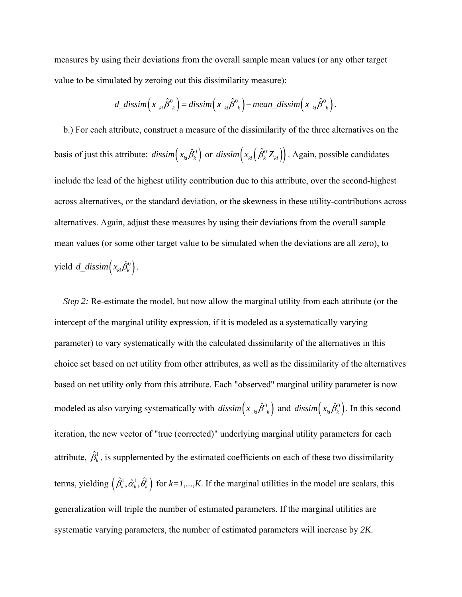measures by using their deviations from the overall sample mean values (or any other target value to be simulated by zeroing out this dissimilarity measure):

$$
d\_dissim\left(x_{-ki}\hat{\beta}_{-k}^{0}\right) = dissim\left(x_{-ki}\hat{\beta}_{-k}^{0}\right)-mean\_dissim\left(x_{-ki}\hat{\beta}_{-k}^{0}\right).
$$

 b.) For each attribute, construct a measure of the dissimilarity of the three alternatives on the basis of just this attribute:  $dissim(x_{ki}\hat{\beta}_k^0)$  or  $dissim(x_{ki}(\hat{\beta}_k^0 Z_{ki}))$ . Again, possible candidates include the lead of the highest utility contribution due to this attribute, over the second-highest across alternatives, or the standard deviation, or the skewness in these utility-contributions across alternatives. Again, adjust these measures by using their deviations from the overall sample mean values (or some other target value to be simulated when the deviations are all zero), to yield  $d\_dissim(x_{ki}\hat{\beta}_k^0)$ .

*Step 2:* Re-estimate the model, but now allow the marginal utility from each attribute (or the intercept of the marginal utility expression, if it is modeled as a systematically varying parameter) to vary systematically with the calculated dissimilarity of the alternatives in this choice set based on net utility from other attributes, as well as the dissimilarity of the alternatives based on net utility only from this attribute. Each "observed" marginal utility parameter is now modeled as also varying systematically with  $dissim(x_{k} \hat{\beta}_{-k}^0)$  and  $dissim(x_{k} \hat{\beta}_{k}^0)$ . In this second iteration, the new vector of "true (corrected)" underlying marginal utility parameters for each attribute,  $\hat{\beta}^1_k$ , is supplemented by the estimated coefficients on each of these two dissimilarity terms, yielding  $(\hat{\beta}_k^1, \hat{\alpha}_k^1, \hat{\theta}_k^1)$  for  $k=1,...,K$ . If the marginal utilities in the model are scalars, this generalization will triple the number of estimated parameters. If the marginal utilities are systematic varying parameters, the number of estimated parameters will increase by *2K*.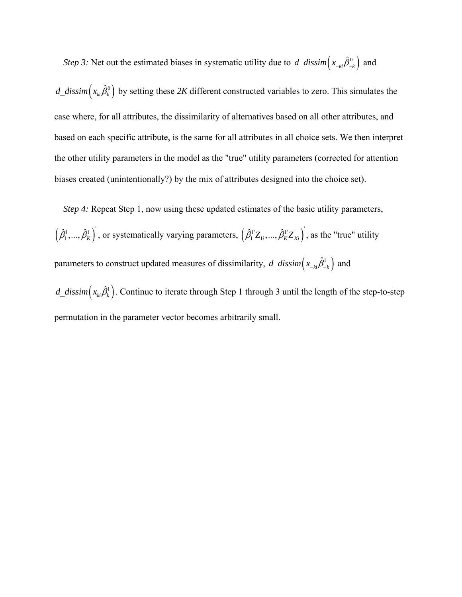*Step 3:* Net out the estimated biases in systematic utility due to  $d_{\textit{A}} \textit{dissim}\left(x_{-ki} \hat{\beta}^0_{-k}\right)$  and

 $d\_dissim(x_{ki}\hat{\beta}_k^0)$  by setting these 2K different constructed variables to zero. This simulates the case where, for all attributes, the dissimilarity of alternatives based on all other attributes, and based on each specific attribute, is the same for all attributes in all choice sets. We then interpret the other utility parameters in the model as the "true" utility parameters (corrected for attention biases created (unintentionally?) by the mix of attributes designed into the choice set).

*Step 4:* Repeat Step 1, now using these updated estimates of the basic utility parameters,  $\left(\hat{\beta}^{\scriptscriptstyle{1}}_{{\scriptscriptstyle{1}}} , ... , \hat{\beta}^{\scriptscriptstyle{1}}_{{\scriptscriptstyle{K}}}\right)^{\!\!\cdot}$  $\hat{\beta}_1^1,...,\hat{\beta}_k^1$ , or systematically varying parameters,  $(\hat{\beta}_1^1Z_{1i},...,\hat{\beta}_K^1Z_{Ki})$  $\hat{\beta}_1^{\mathrm{T}}Z_{1i},...,\hat{\beta}_K^{\mathrm{T}}Z_{Ki}$ , as the "true" utility parameters to construct updated measures of dissimilarity,  $d\_dissim(x_{-ki}\hat{\beta}_{-k}^1)$  and  $d\_dissim(x_{ki}\hat{\beta}_k^1)$ . Continue to iterate through Step 1 through 3 until the length of the step-to-step permutation in the parameter vector becomes arbitrarily small.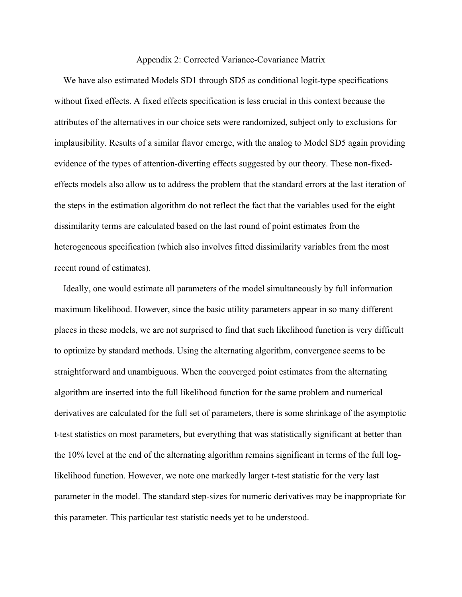### Appendix 2: Corrected Variance-Covariance Matrix

We have also estimated Models SD1 through SD5 as conditional logit-type specifications without fixed effects. A fixed effects specification is less crucial in this context because the attributes of the alternatives in our choice sets were randomized, subject only to exclusions for implausibility. Results of a similar flavor emerge, with the analog to Model SD5 again providing evidence of the types of attention-diverting effects suggested by our theory. These non-fixedeffects models also allow us to address the problem that the standard errors at the last iteration of the steps in the estimation algorithm do not reflect the fact that the variables used for the eight dissimilarity terms are calculated based on the last round of point estimates from the heterogeneous specification (which also involves fitted dissimilarity variables from the most recent round of estimates).

 Ideally, one would estimate all parameters of the model simultaneously by full information maximum likelihood. However, since the basic utility parameters appear in so many different places in these models, we are not surprised to find that such likelihood function is very difficult to optimize by standard methods. Using the alternating algorithm, convergence seems to be straightforward and unambiguous. When the converged point estimates from the alternating algorithm are inserted into the full likelihood function for the same problem and numerical derivatives are calculated for the full set of parameters, there is some shrinkage of the asymptotic t-test statistics on most parameters, but everything that was statistically significant at better than the 10% level at the end of the alternating algorithm remains significant in terms of the full loglikelihood function. However, we note one markedly larger t-test statistic for the very last parameter in the model. The standard step-sizes for numeric derivatives may be inappropriate for this parameter. This particular test statistic needs yet to be understood.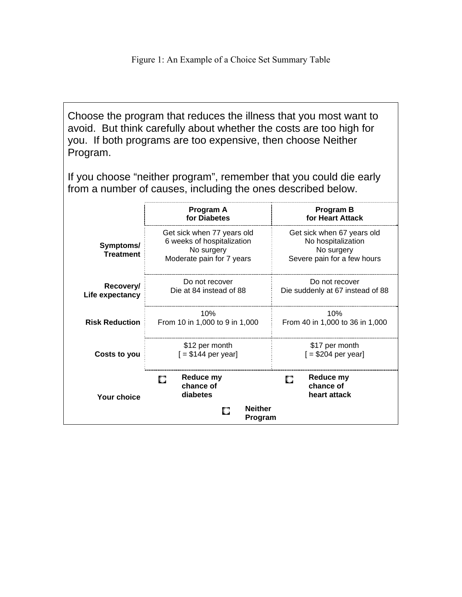Choose the program that reduces the illness that you most want to avoid. But think carefully about whether the costs are too high for you. If both programs are too expensive, then choose Neither Program.

If you choose "neither program", remember that you could die early from a number of causes, including the ones described below.

|                               | Program A<br>for Diabetes                                                                           | <b>Program B</b><br>for Heart Attack                                                          |
|-------------------------------|-----------------------------------------------------------------------------------------------------|-----------------------------------------------------------------------------------------------|
| Symptoms/<br><b>Treatment</b> | Get sick when 77 years old<br>6 weeks of hospitalization<br>No surgery<br>Moderate pain for 7 years | Get sick when 67 years old<br>No hospitalization<br>No surgery<br>Severe pain for a few hours |
| Recovery/<br>Life expectancy  | Do not recover<br>Die at 84 instead of 88                                                           | Do not recover<br>Die suddenly at 67 instead of 88                                            |
| <b>Risk Reduction</b>         | 10%<br>From 10 in 1,000 to 9 in 1,000                                                               | 10%<br>From 40 in 1,000 to 36 in 1,000                                                        |
| Costs to you                  | \$12 per month<br>$= $144$ per year]                                                                | \$17 per month<br>$= $204$ per year]                                                          |
| Your choice                   | Reduce my<br>chance of<br>diabetes<br><b>Neither</b><br>О<br>Program                                | Reduce my<br>chance of<br>heart attack                                                        |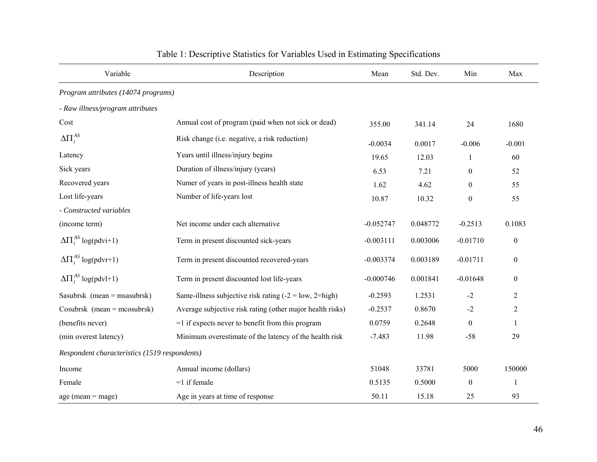| Variable                            | Description                                                | Mean        | Std. Dev. | Min              | Max              |  |  |  |  |  |
|-------------------------------------|------------------------------------------------------------|-------------|-----------|------------------|------------------|--|--|--|--|--|
| Program attributes (14074 programs) |                                                            |             |           |                  |                  |  |  |  |  |  |
| - Raw illness/program attributes    |                                                            |             |           |                  |                  |  |  |  |  |  |
| Cost                                | Annual cost of program (paid when not sick or dead)        | 355.00      | 341.14    | 24               | 1680             |  |  |  |  |  |
| $\Delta \Pi_i^{AS}$                 | Risk change (i.e. negative, a risk reduction)              | $-0.0034$   | 0.0017    | $-0.006$         | $-0.001$         |  |  |  |  |  |
| Latency                             | Years until illness/injury begins                          | 19.65       | 12.03     | $\mathbf{1}$     | 60               |  |  |  |  |  |
| Sick years                          | Duration of illness/injury (years)                         | 6.53        | 7.21      | $\boldsymbol{0}$ | 52               |  |  |  |  |  |
| Recovered years                     | Numer of years in post-illness health state                | 1.62        | 4.62      | $\boldsymbol{0}$ | 55               |  |  |  |  |  |
| Lost life-years                     | Number of life-years lost                                  | 10.87       | 10.32     | $\boldsymbol{0}$ | 55               |  |  |  |  |  |
| - Constructed variables             |                                                            |             |           |                  |                  |  |  |  |  |  |
| (income term)                       | Net income under each alternative                          | $-0.052747$ | 0.048772  | $-0.2513$        | 0.1083           |  |  |  |  |  |
| $\Delta \Pi_i^{AS}$ log(pdvi+1)     | Term in present discounted sick-years                      | $-0.003111$ | 0.003006  | $-0.01710$       | $\boldsymbol{0}$ |  |  |  |  |  |
| $\Delta \Pi_i^{AS}$ log(pdvr+1)     | Term in present discounted recovered-years                 | $-0.003374$ | 0.003189  | $-0.01711$       | $\boldsymbol{0}$ |  |  |  |  |  |
| $\Delta \Pi_i^{AS}$ log(pdvl+1)     | Term in present discounted lost life-years                 | $-0.000746$ | 0.001841  | $-0.01648$       | $\boldsymbol{0}$ |  |  |  |  |  |
| Sasubrsk (mean = msasubrsk)         | Same-illness subjective risk rating $(-2 = low, 2 = high)$ | $-0.2593$   | 1.2531    | $-2$             | $\overline{2}$   |  |  |  |  |  |
| Cosubrsk (mean = mcosubrsk)         | Average subjective risk rating (other major health risks)  | $-0.2537$   | 0.8670    | $-2$             | $\overline{2}$   |  |  |  |  |  |
| (benefits never)                    | $=$ 1 if expects never to benefit from this program        | 0.0759      | 0.2648    | $\boldsymbol{0}$ | 1                |  |  |  |  |  |
| (min overest latency)               | Minimum overestimate of the latency of the health risk     | $-7.483$    | 11.98     | $-58$            | 29               |  |  |  |  |  |
|                                     | Respondent characteristics (1519 respondents)              |             |           |                  |                  |  |  |  |  |  |
| Income                              | Annual income (dollars)                                    | 51048       | 33781     | 5000             | 150000           |  |  |  |  |  |
| Female                              | $=1$ if female                                             | 0.5135      | 0.5000    | $\boldsymbol{0}$ | -1               |  |  |  |  |  |
| $age (mean = mag)$                  | Age in years at time of response                           | 50.11       | 15.18     | 25               | 93               |  |  |  |  |  |

# Table 1: Descriptive Statistics for Variables Used in Estimating Specifications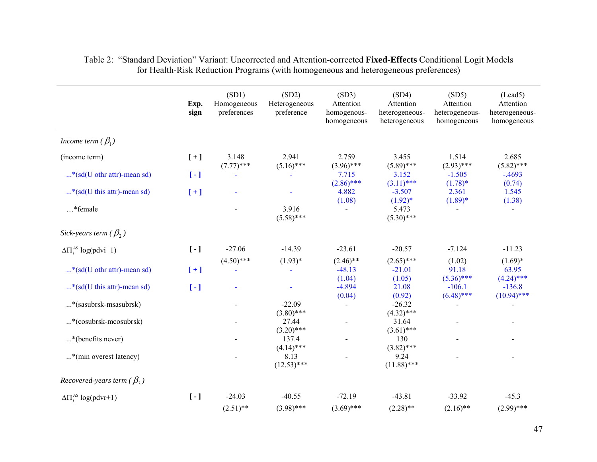|                                        | Exp.<br>sign             | (SD1)<br>Homogeneous<br>preferences | (SD2)<br>Heterogeneous<br>preference | (SD3)<br>Attention<br>homogenous-<br>homogeneous | (SD4)<br>Attention<br>heterogeneous-<br>heterogeneous | (SD5)<br>Attention<br>heterogeneous-<br>homogeneous | (Lead5)<br>Attention<br>heterogeneous-<br>homogeneous |
|----------------------------------------|--------------------------|-------------------------------------|--------------------------------------|--------------------------------------------------|-------------------------------------------------------|-----------------------------------------------------|-------------------------------------------------------|
| Income term ( $\beta_1$ )              |                          |                                     |                                      |                                                  |                                                       |                                                     |                                                       |
| (income term)                          | $[+]$                    | 3.148<br>$(7.77)$ ***               | 2.941<br>$(5.16)$ ***                | 2.759<br>$(3.96)$ ***                            | 3.455<br>$(5.89)$ ***                                 | 1.514<br>$(2.93)$ ***                               | 2.685<br>$(5.82)$ ***                                 |
| * $(sd(U \text{ othr attr})$ -mean sd) | $\lbrack - \rbrack$      |                                     |                                      | 7.715<br>$(2.86)$ ***                            | 3.152<br>$(3.11)$ ***                                 | $-1.505$<br>$(1.78)^*$                              | $-.4693$<br>(0.74)                                    |
| * $(sd(U \n{ this attr})$ -mean sd)    | $[+]$                    |                                     |                                      | 4.882<br>(1.08)                                  | $-3.507$<br>$(1.92)^*$                                | 2.361<br>$(1.89)*$                                  | 1.545<br>(1.38)                                       |
| *female                                |                          |                                     | 3.916<br>$(5.58)$ ***                | $\overline{a}$                                   | 5.473<br>$(5.30)$ ***                                 | $\overline{a}$                                      | $\blacksquare$                                        |
| Sick-years term ( $\beta$ ,)           |                          |                                     |                                      |                                                  |                                                       |                                                     |                                                       |
| $\Delta \Pi_i^{AS}$ log(pdvi+1)        | $\left[\,\cdot\,\right]$ | $-27.06$                            | $-14.39$                             | $-23.61$                                         | $-20.57$                                              | $-7.124$                                            | $-11.23$                                              |
| * (sd(U othr attr)-mean sd)            | $[+]$                    | $(4.50)$ ***                        | $(1.93)*$                            | $(2.46)$ **<br>$-48.13$<br>(1.04)                | $(2.65)$ ***<br>$-21.01$<br>(1.05)                    | (1.02)<br>91.18<br>$(5.36)$ ***                     | $(1.69)*$<br>63.95<br>$(4.24)$ ***                    |
| * $(sd(U \n{ this attr})$ -mean sd)    | $\lbrack \cdot \rbrack$  |                                     |                                      | $-4.894$<br>(0.04)                               | 21.08<br>(0.92)                                       | $-106.1$<br>$(6.48)$ ***                            | $-136.8$<br>$(10.94)$ ***                             |
| *(sasubrsk-msasubrsk)                  |                          |                                     | $-22.09$<br>$(3.80)$ ***             |                                                  | $-26.32$<br>$(4.32)$ ***                              |                                                     |                                                       |
| *(cosubrsk-mcosubrsk)                  |                          |                                     | 27.44<br>$(3.20)$ ***                |                                                  | 31.64<br>$(3.61)$ ***                                 |                                                     |                                                       |
| *(benefits never)                      |                          |                                     | 137.4<br>$(4.14)$ ***                |                                                  | 130<br>$(3.82)$ ***                                   |                                                     |                                                       |
| *(min overest latency)                 |                          |                                     | 8.13<br>$(12.53)$ ***                |                                                  | 9.24<br>$(11.88)$ ***                                 |                                                     |                                                       |
| Recovered-years term ( $\beta_3$ )     |                          |                                     |                                      |                                                  |                                                       |                                                     |                                                       |
| $\Delta\Pi_i^{AS}$ log(pdvr+1)         | $\left[\cdot\right]$     | $-24.03$                            | $-40.55$                             | $-72.19$                                         | $-43.81$                                              | $-33.92$                                            | $-45.3$                                               |
|                                        |                          | $(2.51)$ **                         | $(3.98)$ ***                         | $(3.69)$ ***                                     | $(2.28)$ **                                           | $(2.16)$ **                                         | $(2.99)$ ***                                          |

### Table 2: "Standard Deviation" Variant: Uncorrected and Attention-corrected **Fixed-Effects** Conditional Logit Models for Health-Risk Reduction Programs (with homogeneous and heterogeneous preferences)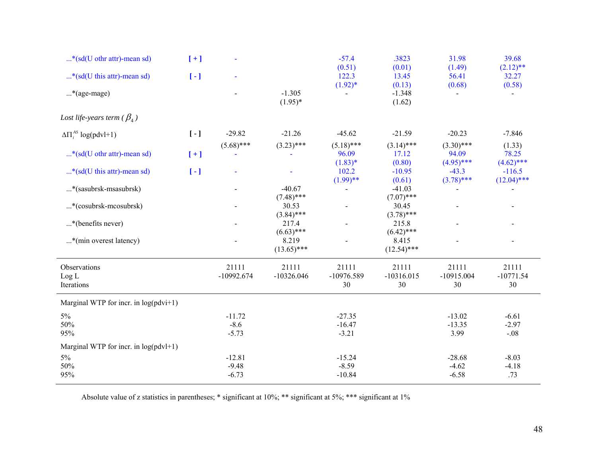| * (sd(U othr attr)-mean sd)                    | $[+]$                |                                |                          | $-57.4$                            | .3823                           | 31.98                                 | 39.68                           |
|------------------------------------------------|----------------------|--------------------------------|--------------------------|------------------------------------|---------------------------------|---------------------------------------|---------------------------------|
| * $(sd(U \n{ this attr})$ -mean sd)            | $\lbrack -1 \rbrack$ |                                |                          | (0.51)<br>122.3<br>$(1.92)*$       | (0.01)<br>13.45<br>(0.13)       | (1.49)<br>56.41<br>(0.68)             | $(2.12)$ **<br>32.27<br>(0.58)  |
| $\ldots$ *(age-mage)                           |                      |                                | $-1.305$<br>$(1.95)^*$   |                                    | $-1.348$<br>(1.62)              |                                       | $\overline{\phantom{a}}$        |
| Lost life-years term ( $\beta_{4}$ )           |                      |                                |                          |                                    |                                 |                                       |                                 |
| $\Delta \Pi_i^{AS} \log(\text{pdvl+1})$        | $\lbrack - \rbrack$  | $-29.82$                       | $-21.26$                 | $-45.62$                           | $-21.59$                        | $-20.23$                              | $-7.846$                        |
| * $(sd(U \text{ othr attr})$ -mean sd)         | $[+]$                | $(5.68)$ ***                   | $(3.23)$ ***             | $(5.18)$ ***<br>96.09<br>$(1.83)*$ | $(3.14)$ ***<br>17.12<br>(0.80) | $(3.30)$ ***<br>94.09<br>$(4.95)$ *** | (1.33)<br>78.25<br>$(4.62)$ *** |
| * $(sd(U \n{ this attr})$ -mean sd)            | $\lbrack -1 \rbrack$ |                                |                          | 102.2<br>$(1.99)$ **               | $-10.95$<br>(0.61)              | $-43.3$<br>$(3.78)$ ***               | $-116.5$<br>$(12.04)$ ***       |
| *(sasubrsk-msasubrsk)                          |                      |                                | $-40.67$<br>$(7.48)$ *** |                                    | $-41.03$<br>$(7.07)$ ***        |                                       |                                 |
| *(cosubrsk-mcosubrsk)                          |                      |                                | 30.53<br>$(3.84)$ ***    |                                    | 30.45<br>$(3.78)$ ***           |                                       |                                 |
| *(benefits never)                              |                      |                                | 217.4<br>$(6.63)$ ***    |                                    | 215.8<br>$(6.42)$ ***           |                                       |                                 |
| *(min overest latency)                         |                      |                                | 8.219<br>$(13.65)$ ***   |                                    | 8.415<br>$(12.54)$ ***          |                                       |                                 |
| Observations<br>Log <sub>L</sub><br>Iterations |                      | 21111<br>$-10992.674$          | 21111<br>$-10326.046$    | 21111<br>-10976.589<br>30          | 21111<br>$-10316.015$<br>30     | 21111<br>$-10915.004$<br>30           | 21111<br>$-10771.54$<br>30      |
| Marginal WTP for incr. in $log(pdv + 1)$       |                      |                                |                          |                                    |                                 |                                       |                                 |
| $5\%$<br>50%<br>95%                            |                      | $-11.72$<br>$-8.6$<br>$-5.73$  |                          | $-27.35$<br>$-16.47$<br>$-3.21$    |                                 | $-13.02$<br>$-13.35$<br>3.99          | $-6.61$<br>$-2.97$<br>$-.08$    |
| Marginal WTP for incr. in $log(pdv1+1)$        |                      |                                |                          |                                    |                                 |                                       |                                 |
| $5\%$<br>50%<br>95%                            |                      | $-12.81$<br>$-9.48$<br>$-6.73$ |                          | $-15.24$<br>$-8.59$<br>$-10.84$    |                                 | $-28.68$<br>$-4.62$<br>$-6.58$        | $-8.03$<br>$-4.18$<br>.73       |

Absolute value of z statistics in parentheses; \* significant at 10%; \*\* significant at 5%; \*\*\* significant at 1%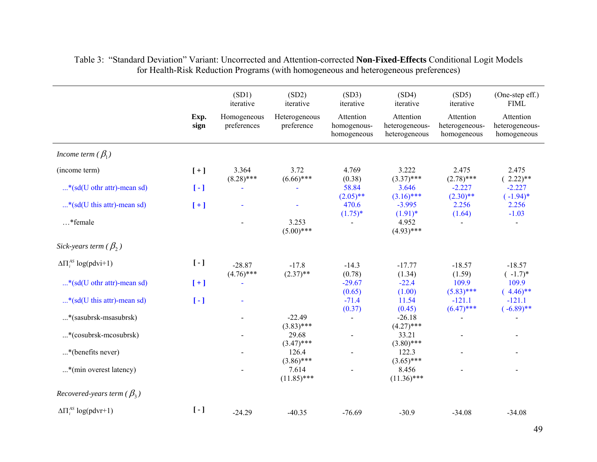|                                          |                        | (SD1)<br>iterative         | (SD2)<br>iterative          | (SD3)<br>iterative                      | (SD4)<br>iterative                           | (SD5)<br>iterative                         | (One-step eff.)<br><b>FIML</b>             |
|------------------------------------------|------------------------|----------------------------|-----------------------------|-----------------------------------------|----------------------------------------------|--------------------------------------------|--------------------------------------------|
|                                          | Exp.<br>sign           | Homogeneous<br>preferences | Heterogeneous<br>preference | Attention<br>homogenous-<br>homogeneous | Attention<br>heterogeneous-<br>heterogeneous | Attention<br>heterogeneous-<br>homogeneous | Attention<br>heterogeneous-<br>homogeneous |
| Income term ( $\beta$ <sub>1</sub> )     |                        |                            |                             |                                         |                                              |                                            |                                            |
| (income term)                            | $[+]$                  | 3.364<br>$(8.28)$ ***      | 3.72<br>$(6.66)$ ***        | 4.769<br>(0.38)                         | 3.222<br>$(3.37)$ ***                        | 2.475<br>$(2.78)$ ***                      | 2.475<br>$(.2.22)**$                       |
| * (sd(U othr attr)-mean sd)              | $\lbrack - \rbrack$    |                            |                             | 58.84<br>$(2.05)$ **                    | 3.646<br>$(3.16)$ ***                        | $-2.227$<br>$(2.30)$ **                    | $-2.227$<br>$(-1.94)$ *                    |
| * $(sd(U \n  this attr)-mean sd)$        | $[+]$                  |                            |                             | 470.6<br>$(1.75)^*$                     | $-3.995$<br>$(1.91)$ *                       | 2.256<br>(1.64)                            | 2.256<br>$-1.03$                           |
| *female                                  |                        |                            | 3.253<br>$(5.00)$ ***       |                                         | 4.952<br>$(4.93)$ ***                        |                                            |                                            |
| Sick-years term ( $\beta$ <sub>2</sub> ) |                        |                            |                             |                                         |                                              |                                            |                                            |
| $\Delta \Pi_i^{AS}$ log(pdvi+1)          | $\left[ \cdot \right]$ | $-28.87$<br>$(4.76)$ ***   | $-17.8$<br>$(2.37)$ **      | $-14.3$<br>(0.78)                       | $-17.77$<br>(1.34)                           | $-18.57$<br>(1.59)                         | $-18.57$<br>$(-1.7)^*$                     |
| * $(sd(U \text{ othr attr})$ -mean sd)   | $[+]$                  |                            |                             | $-29.67$<br>(0.65)                      | $-22.4$<br>(1.00)                            | 109.9<br>$(5.83)$ ***                      | 109.9<br>$(4.46)$ **                       |
| * $(sd(U \n{ this attr})$ -mean sd)      | $[\cdot]$              | $\overline{\phantom{a}}$   |                             | $-71.4$<br>(0.37)                       | 11.54<br>(0.45)                              | $-121.1$<br>$(6.47)$ ***                   | $-121.1$<br>$(-6.89)$ **                   |
| *(sasubrsk-msasubrsk)                    |                        |                            | $-22.49$<br>$(3.83)$ ***    | $\frac{1}{2}$                           | $-26.18$<br>$(4.27)$ ***                     |                                            |                                            |
| *(cosubrsk-mcosubrsk)                    |                        |                            | 29.68<br>$(3.47)$ ***       |                                         | 33.21<br>$(3.80)$ ***                        |                                            |                                            |
| *(benefits never)                        |                        |                            | 126.4<br>$(3.86)$ ***       |                                         | 122.3<br>$(3.65)$ ***                        |                                            |                                            |
| *(min overest latency)                   |                        |                            | 7.614<br>$(11.85)$ ***      |                                         | 8.456<br>$(11.36)$ ***                       |                                            |                                            |
| Recovered-years term ( $\beta_3$ )       |                        |                            |                             |                                         |                                              |                                            |                                            |
| $\Delta \Pi_i^{AS} \log(\text{pdvr+1})$  | $[ \cdot ]$            | $-24.29$                   | $-40.35$                    | $-76.69$                                | $-30.9$                                      | $-34.08$                                   | $-34.08$                                   |

| Table 3: "Standard Deviation" Variant: Uncorrected and Attention-corrected <b>Non-Fixed-Effects</b> Conditional Logit Models |                                                                                     |  |
|------------------------------------------------------------------------------------------------------------------------------|-------------------------------------------------------------------------------------|--|
|                                                                                                                              | for Health-Risk Reduction Programs (with homogeneous and heterogeneous preferences) |  |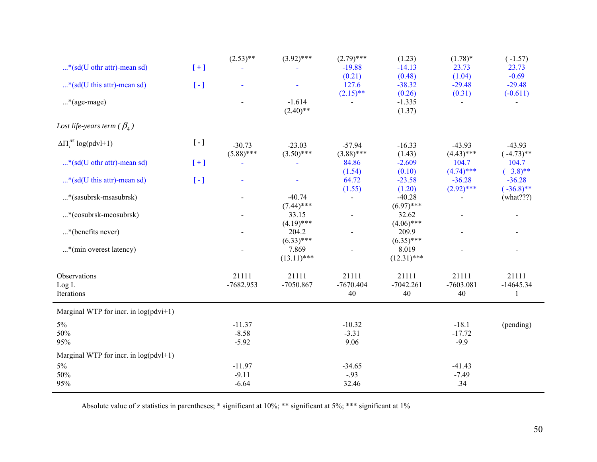|                                             |                      | $(2.53)$ **  | $(3.92)$ ***  | $(2.79)$ ***    | (1.23)             | $(1.78)$ *            | $(-1.57)$           |
|---------------------------------------------|----------------------|--------------|---------------|-----------------|--------------------|-----------------------|---------------------|
| * $(sd(U \text{ othr attr})$ -mean sd)      | $[+]$                |              |               | $-19.88$        | $-14.13$           | 23.73                 | 23.73               |
|                                             |                      |              |               | (0.21)          | (0.48)             | (1.04)                | $-0.69$             |
| * $(sd(U \n{ this attr})$ -mean sd)         | $\lbrack -1 \rbrack$ |              |               | 127.6           | $-38.32$           | $-29.48$              | $-29.48$            |
|                                             |                      |              |               | $(2.15)$ **     | (0.26)             | (0.31)                | $(-0.611)$          |
| *(age-mage)                                 |                      |              | $-1.614$      | $\blacksquare$  | $-1.335$           | $\blacksquare$        | $\blacksquare$      |
|                                             |                      |              | $(2.40)$ **   |                 | (1.37)             |                       |                     |
| Lost life-years term ( $\beta_{\text{A}}$ ) |                      |              |               |                 |                    |                       |                     |
| $\Delta \Pi_i^{AS} \log(\text{pdvl+1})$     | $[ - ]$              |              |               |                 |                    |                       |                     |
|                                             |                      | $-30.73$     | $-23.03$      | $-57.94$        | $-16.33$           | $-43.93$              | $-43.93$            |
|                                             |                      | $(5.88)$ *** | $(3.50)$ ***  | $(3.88)$ ***    | (1.43)             | $(4.43)$ ***          | $(-4.73)$ **        |
| * $(sd(U \text{ othr attr})$ -mean sd)      | $[+]$                |              |               | 84.86<br>(1.54) | $-2.609$<br>(0.10) | 104.7<br>$(4.74)$ *** | 104.7<br>$(3.8)$ ** |
| * $(sd(U \n{ this attr})$ -mean sd)         | $\lbrack - \rbrack$  |              |               | 64.72           | $-23.58$           | $-36.28$              | $-36.28$            |
|                                             |                      |              |               | (1.55)          | (1.20)             | $(2.92)$ ***          | $(-36.8)$ **        |
| *(sasubrsk-msasubrsk)                       |                      |              | $-40.74$      | $\blacksquare$  | $-40.28$           |                       | (what???)           |
|                                             |                      |              | $(7.44)$ ***  |                 | $(6.97)$ ***       |                       |                     |
| *(cosubrsk-mcosubrsk)                       |                      |              | 33.15         |                 | 32.62              |                       |                     |
|                                             |                      |              | $(4.19)$ ***  |                 | $(4.06)$ ***       |                       |                     |
| *(benefits never)                           |                      |              | 204.2         |                 | 209.9              |                       |                     |
|                                             |                      |              | $(6.33)$ ***  |                 | $(6.35)$ ***       |                       |                     |
| *(min overest latency)                      |                      |              | 7.869         |                 | 8.019              |                       | $\blacksquare$      |
|                                             |                      |              | $(13.11)$ *** |                 | $(12.31)$ ***      |                       |                     |
| Observations                                |                      | 21111        | 21111         | 21111           | 21111              | 21111                 | 21111               |
| Log <sub>L</sub>                            |                      | $-7682.953$  | $-7050.867$   | $-7670.404$     | $-7042.261$        | $-7603.081$           | $-14645.34$         |
| Iterations                                  |                      |              |               | 40              | 40                 | 40                    | 1                   |
| Marginal WTP for incr. in $log(pdv + 1)$    |                      |              |               |                 |                    |                       |                     |
| $5\%$                                       |                      | $-11.37$     |               | $-10.32$        |                    | $-18.1$               | (pending)           |
| 50%                                         |                      | $-8.58$      |               | $-3.31$         |                    | $-17.72$              |                     |
| 95%                                         |                      | $-5.92$      |               | 9.06            |                    | $-9.9$                |                     |
| Marginal WTP for incr. in $log(pdvl+1)$     |                      |              |               |                 |                    |                       |                     |
| $5\%$                                       |                      | $-11.97$     |               | $-34.65$        |                    | $-41.43$              |                     |
| 50%                                         |                      | $-9.11$      |               | $-.93$          |                    | $-7.49$               |                     |
| 95%                                         |                      | $-6.64$      |               | 32.46           |                    | .34                   |                     |

Absolute value of z statistics in parentheses; \* significant at 10%; \*\* significant at 5%; \*\*\* significant at 1%